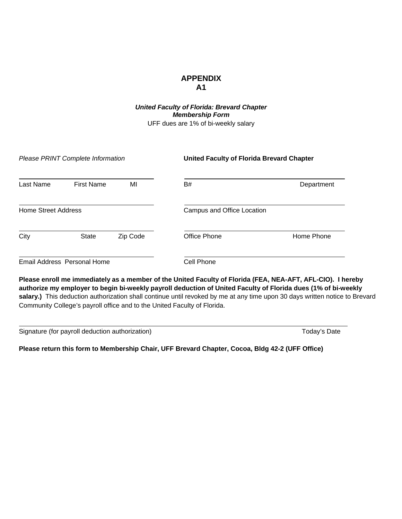## **APPENDIX A1**

*United Faculty of Florida: Brevard Chapter Membership Form* UFF dues are 1% of bi-weekly salary

|                            | Please PRINT Complete Information |          | <b>United Faculty of Florida Brevard Chapter</b> |            |  |
|----------------------------|-----------------------------------|----------|--------------------------------------------------|------------|--|
| Last Name                  | <b>First Name</b>                 | MI       | B#                                               | Department |  |
| <b>Home Street Address</b> |                                   |          | Campus and Office Location                       |            |  |
| City                       | <b>State</b>                      | Zip Code | Office Phone                                     | Home Phone |  |
|                            | Email Address Personal Home       |          | Cell Phone                                       |            |  |

**Please enroll me immediately as a member of the United Faculty of Florida (FEA, NEA-AFT, AFL-CIO). I hereby authorize my employer to begin bi-weekly payroll deduction of United Faculty of Florida dues (1% of bi-weekly**  salary.) This deduction authorization shall continue until revoked by me at any time upon 30 days written notice to Brevard Community College's payroll office and to the United Faculty of Florida.

Signature (for payroll deduction authorization) Signature Today's Date

**Please return this form to Membership Chair, UFF Brevard Chapter, Cocoa, Bldg 42-2 (UFF Office)**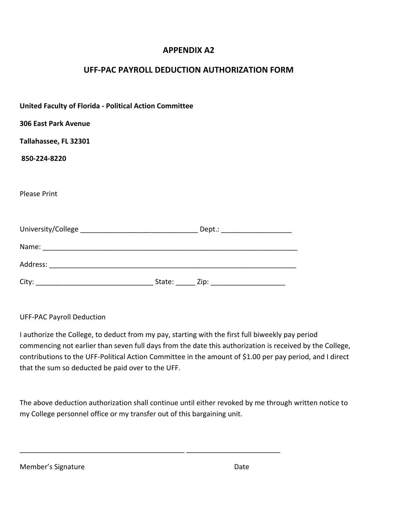## **APPENDIX A2**

## **UFF‐PAC PAYROLL DEDUCTION AUTHORIZATION FORM**

| <b>United Faculty of Florida - Political Action Committee</b> |  |
|---------------------------------------------------------------|--|
| <b>306 East Park Avenue</b>                                   |  |
| Tallahassee, FL 32301                                         |  |
| 850-224-8220                                                  |  |
|                                                               |  |
| <b>Please Print</b>                                           |  |
|                                                               |  |
|                                                               |  |
|                                                               |  |
|                                                               |  |
|                                                               |  |

## UFF‐PAC Payroll Deduction

I authorize the College, to deduct from my pay, starting with the first full biweekly pay period commencing not earlier than seven full days from the date this authorization is received by the College, contributions to the UFF‐Political Action Committee in the amount of \$1.00 per pay period, and I direct that the sum so deducted be paid over to the UFF.

The above deduction authorization shall continue until either revoked by me through written notice to my College personnel office or my transfer out of this bargaining unit.

\_\_\_\_\_\_\_\_\_\_\_\_\_\_\_\_\_\_\_\_\_\_\_\_\_\_\_\_\_\_\_\_\_\_\_\_\_\_\_\_\_\_ \_\_\_\_\_\_\_\_\_\_\_\_\_\_\_\_\_\_\_\_\_\_\_\_

| Member's Signature | Date |
|--------------------|------|
|--------------------|------|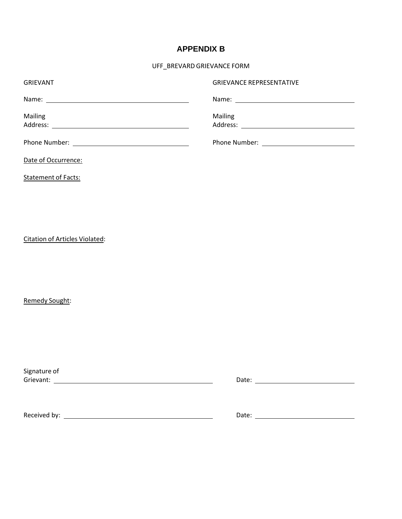## **APPENDIX B**

UFF\_BREVARD GRIEVANCE FORM

| <b>GRIEVANT</b>     | <b>GRIEVANCE REPRESENTATIVE</b> |
|---------------------|---------------------------------|
|                     |                                 |
| Mailing             | <b>Mailing</b>                  |
|                     |                                 |
|                     |                                 |
| Date of Occurrence: |                                 |

Statement of Facts:

Citation of Articles Violated:

Remedy Sought:

Signature of <u>Cromatic Cromatic Cromatic Cromatic Cromatic Cromatic Cromatic Cromatic Cromatic Cromatic Cromatic Cromatic Cro</u><br>
Bate: <u>Cromatic Cromatic Cromatic Cromatic Cromatic Cromatic Cromatic Cromatic Cromatic Cromatic Cromatic C</u>

Received by: Date: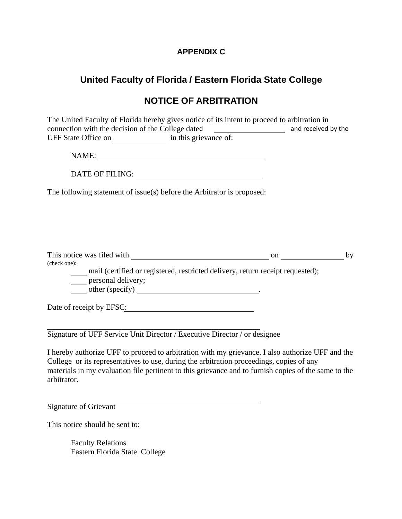## **APPENDIX C**

# **United Faculty of Florida / Eastern Florida State College**

# **NOTICE OF ARBITRATION**

The United Faculty of Florida hereby gives notice of its intent to proceed to arbitration in connection with the decision of the College dated **and received by the** UFF State Office on in this grievance of:

NAME:

DATE OF FILING: UNITED STATES OF STRAINING STATES OF STRAINING STATES OF STRAINING STATES OF STRAINING STRAINING STRAINING STRAINING STRAINING STRAINING STRAINING STRAINING STRAINING STRAINING STRAINING STRAINING STRAINING

The following statement of issue(s) before the Arbitrator is proposed:

| This notice was filed with                                                     | on | hv |
|--------------------------------------------------------------------------------|----|----|
| (check one):                                                                   |    |    |
| mail (certified or registered, restricted delivery, return receipt requested); |    |    |
| personal delivery;                                                             |    |    |

other (specify) .

Date of receipt by EFSC:

Signature of UFF Service Unit Director / Executive Director / or designee

I hereby authorize UFF to proceed to arbitration with my grievance. I also authorize UFF and the College or its representatives to use, during the arbitration proceedings, copies of any materials in my evaluation file pertinent to this grievance and to furnish copies of the same to the arbitrator.

Signature of Grievant

This notice should be sent to:

Faculty Relations Eastern Florida State College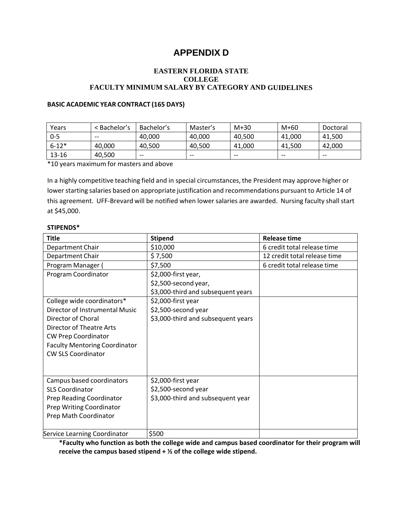# **APPENDIX D**

#### **EASTERN FLORIDA STATE COLLEGE FACULTY MINIMUM SALARY BY CATEGORY AND GUIDELINES**

#### **BASIC ACADEMIC YEAR CONTRACT (165 DAYS)**

| Years     | < Bachelor's | Bachelor's | Master's | $M+30$ | $M+60$ | Doctoral |
|-----------|--------------|------------|----------|--------|--------|----------|
| $0 - 5$   | $- -$        | 40.000     | 40,000   | 40.500 | 41.000 | 41.500   |
| $6 - 12*$ | 40.000       | 40.500     | 40.500   | 41.000 | 41,500 | 42,000   |
| $13 - 16$ | 40,500       | $- -$      | $- -$    | $- -$  | $- -$  | $- -$    |

\*10 years maximum for masters and above

In a highly competitive teaching field and in special circumstances, the President may approve higher or lower starting salaries based on appropriate justification and recommendations pursuant to Article 14 of this agreement. UFF‐Brevard will be notified when lower salaries are awarded. Nursing faculty shall start at \$45,000.

#### **STIPENDS\***

| <b>Title</b>                         | <b>Stipend</b>                     | <b>Release time</b>          |
|--------------------------------------|------------------------------------|------------------------------|
| Department Chair                     | \$10,000                           | 6 credit total release time  |
| Department Chair                     | \$7,500                            | 12 credit total release time |
| Program Manager (                    | \$7,500                            | 6 credit total release time  |
| Program Coordinator                  | \$2,000-first year,                |                              |
|                                      | \$2,500-second year,               |                              |
|                                      | \$3,000-third and subsequent years |                              |
| College wide coordinators*           | \$2,000-first year                 |                              |
| Director of Instrumental Music       | \$2,500-second year                |                              |
| Director of Choral                   | \$3,000-third and subsequent years |                              |
| Director of Theatre Arts             |                                    |                              |
| <b>CW Prep Coordinator</b>           |                                    |                              |
| <b>Faculty Mentoring Coordinator</b> |                                    |                              |
| <b>CW SLS Coordinator</b>            |                                    |                              |
|                                      |                                    |                              |
|                                      |                                    |                              |
| Campus based coordinators            | \$2,000-first year                 |                              |
| <b>SLS Coordinator</b>               | \$2,500-second year                |                              |
| Prep Reading Coordinator             | \$3,000-third and subsequent year  |                              |
| <b>Prep Writing Coordinator</b>      |                                    |                              |
| Prep Math Coordinator                |                                    |                              |
|                                      |                                    |                              |
| Service Learning Coordinator         | \$500                              |                              |

**\*Faculty who function as both the college wide and campus based coordinator for their program will receive the campus based stipend + ½ of the college wide stipend.**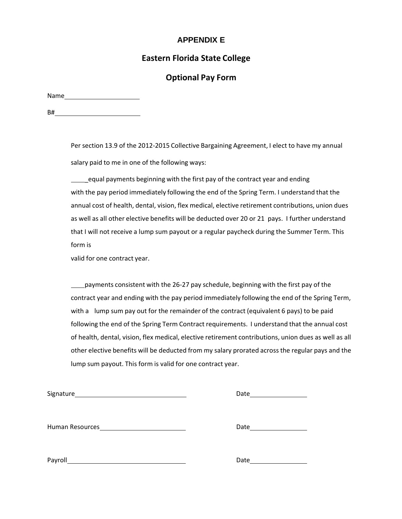## **APPENDIX E**

## **Eastern Florida State College**

## **Optional Pay Form**

Name

B# **but the contract of the contract of the contract of the contract of the contract of the contract of the contract of the contract of the contract of the contract of the contract of the contract of the contract of the co** 

Per section 13.9 of the 2012‐2015 Collective Bargaining Agreement, I elect to have my annual salary paid to me in one of the following ways:

equal payments beginning with the first pay of the contract year and ending with the pay period immediately following the end of the Spring Term. I understand that the annual cost of health, dental, vision, flex medical, elective retirement contributions, union dues as well as all other elective benefits will be deducted over 20 or 21 pays. I further understand that I will not receive a lump sum payout or a regular paycheck during the Summer Term. This form is

valid for one contract year.

payments consistent with the 26‐27 pay schedule, beginning with the first pay of the contract year and ending with the pay period immediately following the end of the Spring Term, with a lump sum pay out for the remainder of the contract (equivalent 6 pays) to be paid following the end of the Spring Term Contract requirements. I understand that the annual cost of health, dental, vision, flex medical, elective retirement contributions, union dues as well as all other elective benefits will be deducted from my salary prorated across the regular pays and the lump sum payout. This form is valid for one contract year.

| Signature       | Date |
|-----------------|------|
|                 |      |
| Human Resources | Date |
|                 |      |
| Payroll         | Date |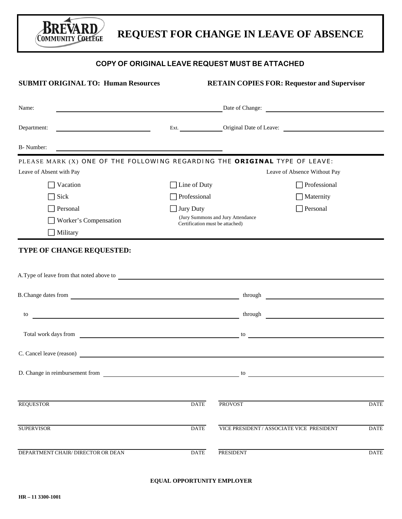# **REQUEST FOR CHANGE IN LEAVE OF ABSENCE**

#### **COPY OF ORIGINAL LEAVE REQUEST MUST BE ATTACHED**

| <b>SUBMIT ORIGINAL TO: Human Resources</b>                                                                                    |                                 | <b>RETAIN COPIES FOR: Requestor and Supervisor</b>                  |             |
|-------------------------------------------------------------------------------------------------------------------------------|---------------------------------|---------------------------------------------------------------------|-------------|
| Name:<br><u> 1989 - Johann Stein, marwolaethau a bhann an t-Amhair an t-Amhair an t-Amhair an t-Amhair an t-Amhair an t-A</u> |                                 | Date of Change:                                                     |             |
| Department:                                                                                                                   |                                 | Ext. Original Date of Leave:                                        |             |
| B- Number:                                                                                                                    |                                 |                                                                     |             |
| PLEASE MARK (X) ONE OF THE FOLLOWING REGARDING THE ORIGINAL TYPE OF LEAVE:                                                    |                                 |                                                                     |             |
| Leave of Absent with Pay                                                                                                      |                                 | Leave of Absence Without Pay                                        |             |
| Vacation                                                                                                                      | $\Box$ Line of Duty             | Professional                                                        |             |
| Sick                                                                                                                          | Professional                    | Maternity                                                           |             |
| Personal                                                                                                                      | Jury Duty                       | Personal                                                            |             |
| Worker's Compensation                                                                                                         | Certification must be attached) | (Jury Summons and Jury Attendance                                   |             |
| $\Box$ Military                                                                                                               |                                 |                                                                     |             |
| B. Change dates from                                                                                                          |                                 |                                                                     |             |
| to                                                                                                                            |                                 | <u> 1980 - Jan Stein Stein, fransk politik (d. 1980)</u><br>through |             |
| Total work days from                                                                                                          |                                 | to<br><u> 1989 - Johann John Stein, fransk politik (d. 1989)</u>    |             |
|                                                                                                                               |                                 |                                                                     |             |
| D. Change in reimbursement from                                                                                               |                                 | to                                                                  |             |
| <b>REQUESTOR</b>                                                                                                              | <b>DATE</b>                     | <b>PROVOST</b>                                                      | <b>DATE</b> |
| <b>SUPERVISOR</b>                                                                                                             | <b>DATE</b>                     | VICE PRESIDENT / ASSOCIATE VICE PRESIDENT                           | <b>DATE</b> |
| DEPARTMENT CHAIR/ DIRECTOR OR DEAN                                                                                            | <b>DATE</b>                     | <b>PRESIDENT</b>                                                    | <b>DATE</b> |

**EQUAL OPPORTUNITY EMPLOYER**

Bri

FVA R D

**COMMUNITY COLLEGE**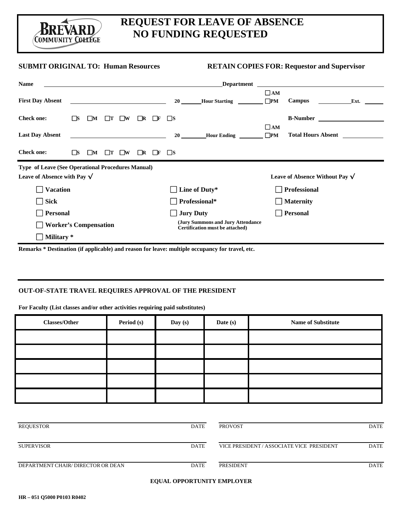Brevard COMMUNITY COLLEGE

# **REQUEST FOR LEAVE OF ABSENCE NO FUNDING REQUESTED**

#### **SUBMIT ORIGINAL TO: Human Resources RETAIN COPIES FOR: Requestor and Supervisor**

| <b>Name</b>                                                                              |      |                                                                                                 |     |                                         |          |              |          | <b>Department</b>                                                    |                           |                                        |      |
|------------------------------------------------------------------------------------------|------|-------------------------------------------------------------------------------------------------|-----|-----------------------------------------|----------|--------------|----------|----------------------------------------------------------------------|---------------------------|----------------------------------------|------|
| <b>First Day Absent</b>                                                                  |      |                                                                                                 |     | <u> 1990 - Johann Barbara, martin a</u> |          |              | 20       | <b>Hour Starting</b>                                                 | $\Box$ AM<br>$\square$ PM | <b>Campus</b>                          | Ext. |
| <b>Check one:</b>                                                                        | - IS | M                                                                                               |     | $\Box w$                                |          |              | ⊟S       |                                                                      |                           | <b>B-Number</b>                        |      |
| <b>Last Day Absent</b>                                                                   |      | the contract of the contract of the contract of the contract of the contract of the contract of |     |                                         |          |              | 20       | <b>Hour Ending</b>                                                   | $\Box$ AM<br>$\square$ PM | <b>Total Hours Absent</b>              |      |
| <b>Check one:</b>                                                                        | ΠS   | $\Box M$                                                                                        | ΙTΓ | $\Box$ w                                | $\Box$ R | $\mathbf{F}$ | $\Box$ s |                                                                      |                           |                                        |      |
| Type of Leave (See Operational Procedures Manual)<br>Leave of Absence with Pay $\sqrt{}$ |      |                                                                                                 |     |                                         |          |              |          |                                                                      |                           | Leave of Absence Without Pay $\sqrt{}$ |      |
| <b>Vacation</b>                                                                          |      |                                                                                                 |     |                                         |          |              |          | Line of Duty*                                                        |                           | <b>Professional</b>                    |      |
| <b>Sick</b>                                                                              |      |                                                                                                 |     |                                         |          |              |          | Professional*                                                        | $\sim$                    | <b>Maternity</b>                       |      |
| <b>Personal</b>                                                                          |      |                                                                                                 |     |                                         |          |              |          | <b>Jury Duty</b>                                                     |                           | <b>Personal</b>                        |      |
| <b>Worker's Compensation</b>                                                             |      |                                                                                                 |     |                                         |          |              |          | (Jury Summons and Jury Attendance<br>Certification must be attached) |                           |                                        |      |
| Military*                                                                                |      |                                                                                                 |     |                                         |          |              |          |                                                                      |                           |                                        |      |

**Remarks \* Destination (if applicable) and reason for leave: multiple occupancy for travel, etc.**

#### **OUT-OF-STATE TRAVEL REQUIRES APPROVAL OF THE PRESIDENT**

**For Faculty (List classes and/or other activities requiring paid substitutes)**

| <b>Classes/Other</b> | Period (s) | Day (s) | Date (s) | <b>Name of Substitute</b> |
|----------------------|------------|---------|----------|---------------------------|
|                      |            |         |          |                           |
|                      |            |         |          |                           |
|                      |            |         |          |                           |
|                      |            |         |          |                           |
|                      |            |         |          |                           |

| REQUESTOR                          | <b>DATE</b> | <b>PROVOST</b>                            | <b>DATE</b> |
|------------------------------------|-------------|-------------------------------------------|-------------|
| <b>SUPERVISOR</b>                  | <b>DATE</b> | VICE PRESIDENT / ASSOCIATE VICE PRESIDENT | <b>DATE</b> |
| DEPARTMENT CHAIR/ DIRECTOR OR DEAN | <b>DATE</b> | PRESIDENT                                 | <b>DATE</b> |

#### **EQUAL OPPORTUNITY EMPLOYER**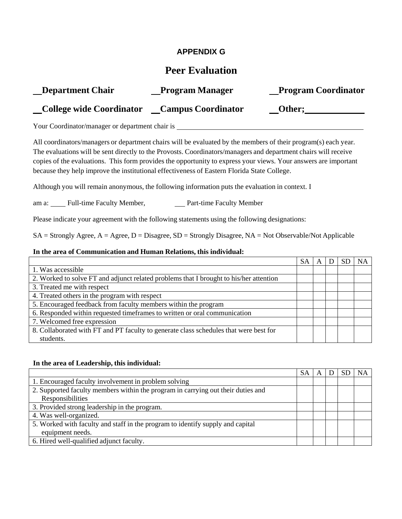## **APPENDIX G**

# **Peer Evaluation**

| <b>Department Chair</b>         | <b>Program Manager</b>    | <b>Program Coordinator</b> |
|---------------------------------|---------------------------|----------------------------|
| <b>College wide Coordinator</b> | <b>Campus Coordinator</b> | Other;                     |

Your Coordinator/manager or department chair is

All coordinators/managers or department chairs will be evaluated by the members of their program(s) each year. The evaluations will be sent directly to the Provosts. Coordinators/managers and department chairs will receive copies of the evaluations. This form provides the opportunity to express your views. Your answers are important because they help improve the institutional effectiveness of Eastern Florida State College.

Although you will remain anonymous, the following information puts the evaluation in context. I

am a: Full-time Faculty Member, Part-time Faculty Member

Please indicate your agreement with the following statements using the following designations:

 $SA =$  Strongly Agree,  $A =$  Agree,  $D =$  Disagree,  $SD =$  Strongly Disagree,  $NA =$  Not Observable/Not Applicable

#### **In the area of Communication and Human Relations, this individual:**

|                                                                                        | SА |  |  |
|----------------------------------------------------------------------------------------|----|--|--|
| 1. Was accessible                                                                      |    |  |  |
| 2. Worked to solve FT and adjunct related problems that I brought to his/her attention |    |  |  |
| 3. Treated me with respect                                                             |    |  |  |
| 4. Treated others in the program with respect                                          |    |  |  |
| 5. Encouraged feedback from faculty members within the program                         |    |  |  |
| 6. Responded within requested timeframes to written or oral communication              |    |  |  |
| 7. Welcomed free expression                                                            |    |  |  |
| 8. Collaborated with FT and PT faculty to generate class schedules that were best for  |    |  |  |
| students.                                                                              |    |  |  |

#### **In the area of Leadership, this individual:**

|                                                                                  | SA |  | <b>NA</b> |
|----------------------------------------------------------------------------------|----|--|-----------|
| 1. Encouraged faculty involvement in problem solving                             |    |  |           |
| 2. Supported faculty members within the program in carrying out their duties and |    |  |           |
| Responsibilities                                                                 |    |  |           |
| 3. Provided strong leadership in the program.                                    |    |  |           |
| 4. Was well-organized.                                                           |    |  |           |
| 5. Worked with faculty and staff in the program to identify supply and capital   |    |  |           |
| equipment needs.                                                                 |    |  |           |
| 6. Hired well-qualified adjunct faculty.                                         |    |  |           |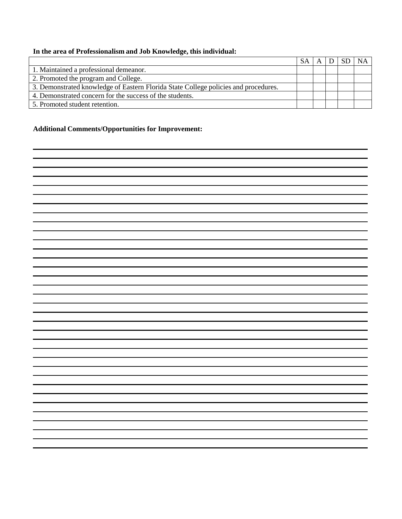## **In the area of Professionalism and Job Knowledge, this individual:**

|                                                                                     | <b>SA</b> |  | $\overline{\mathsf{NA}}$ |
|-------------------------------------------------------------------------------------|-----------|--|--------------------------|
| 1. Maintained a professional demeanor.                                              |           |  |                          |
| 2. Promoted the program and College.                                                |           |  |                          |
| 3. Demonstrated knowledge of Eastern Florida State College policies and procedures. |           |  |                          |
| 4. Demonstrated concern for the success of the students.                            |           |  |                          |
| 5. Promoted student retention.                                                      |           |  |                          |

## **Additional Comments/Opportunities for Improvement:**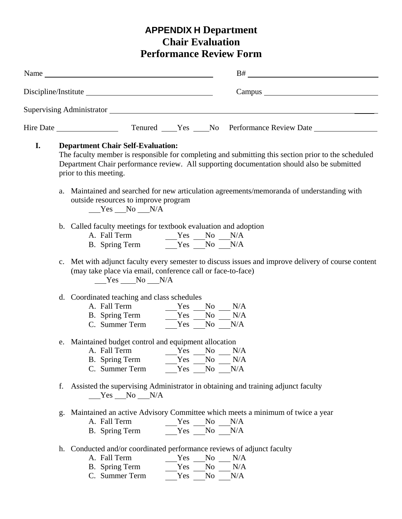# **APPENDIX H Department Chair Evaluation Performance Review Form**

|    | Name Name and the second state of the second state of the second state of the second state of the second state of the second state of the second state of the second state of the second state of the second state of the seco                                          |
|----|-------------------------------------------------------------------------------------------------------------------------------------------------------------------------------------------------------------------------------------------------------------------------|
|    |                                                                                                                                                                                                                                                                         |
|    |                                                                                                                                                                                                                                                                         |
|    |                                                                                                                                                                                                                                                                         |
| I. | <b>Department Chair Self-Evaluation:</b><br>The faculty member is responsible for completing and submitting this section prior to the scheduled<br>Department Chair performance review. All supporting documentation should also be submitted<br>prior to this meeting. |
|    | Maintained and searched for new articulation agreements/memoranda of understanding with<br>a.<br>outside resources to improve program<br>$Yes$ No $N/A$                                                                                                                 |
|    | b. Called faculty meetings for textbook evaluation and adoption<br>A. Fall Term $Yes$ No N/A<br>B. Spring Term $Yes$ No N/A                                                                                                                                             |
|    | c. Met with adjunct faculty every semester to discuss issues and improve delivery of course content<br>(may take place via email, conference call or face-to-face)<br>$Yes$ No N/A                                                                                      |
|    | d. Coordinated teaching and class schedules<br>A. Fall Term $\begin{array}{c c}\n\text{Yes} & \text{No} & \text{N/A} \\ \hline\n\text{B. Spring Term} & \text{Yes} & \text{No} & \text{N/A} \\ \hline\n\end{array}$<br>C. Summer Term $Yes$ No $N/A$                    |
|    | e. Maintained budget control and equipment allocation<br>A. Fall Term Yes No N/A<br>Yes No<br>N/A<br>B. Spring Term<br>C. Summer Term<br>Yes No<br>N/A                                                                                                                  |
|    | f. Assisted the supervising Administrator in obtaining and training adjunct faculty<br>$Yes$ No $N/A$                                                                                                                                                                   |
|    | g. Maintained an active Advisory Committee which meets a minimum of twice a year<br>A. Fall Term<br>Yes No N/A<br>$Yes$ No N/A<br>B. Spring Term                                                                                                                        |
|    | h. Conducted and/or coordinated performance reviews of adjunct faculty<br>A. Fall Term<br>N <sub>0</sub><br>Yes<br>N/A<br>B. Spring Term<br>Yes<br>No<br>N/A<br>C. Summer Term<br>N/A<br>Yes<br>No                                                                      |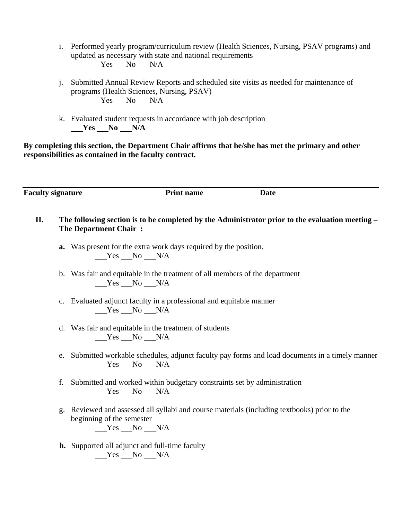- i. Performed yearly program/curriculum review (Health Sciences, Nursing, PSAV programs) and updated as necessary with state and national requirements  $Yes$  No  $N/A$
- j. Submitted Annual Review Reports and scheduled site visits as needed for maintenance of programs (Health Sciences, Nursing, PSAV)  $Yes$  No N/A
- k. Evaluated student requests in accordance with job description  $Yes$  No  $N/A$

**By completing this section, the Department Chair affirms that he/she has met the primary and other responsibilities as contained in the faculty contract.**

**Faculty signature** Print name Date

- **II. The following section is to be completed by the Administrator prior to the evaluation meeting The Department Chair :**
	- **a.** Was present for the extra work days required by the position. Yes No N/A
	- b. Was fair and equitable in the treatment of all members of the department Yes No N/A
	- c. Evaluated adjunct faculty in a professional and equitable manner  $Yes$  No N/A
	- d. Was fair and equitable in the treatment of students  $Yes$  No  $N/A$
	- e. Submitted workable schedules, adjunct faculty pay forms and load documents in a timely manner Yes No N/A
	- f. Submitted and worked within budgetary constraints set by administration  $Yes$  No  $N/A$
	- g. Reviewed and assessed all syllabi and course materials (including textbooks) prior to the beginning of the semester  $Yes$  No  $N/A$
	- **h.** Supported all adjunct and full-time faculty Yes No N/A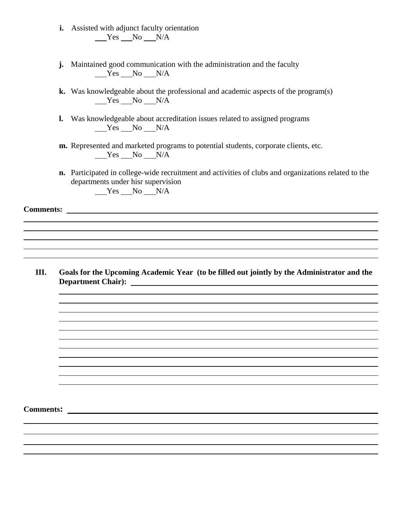- **i.** Assisted with adjunct faculty orientation  $Yes$  No  $N/A$
- **j.** Maintained good communication with the administration and the faculty Yes No N/A
- **k.** Was knowledgeable about the professional and academic aspects of the program(s)  $Yes$  No N/A
- **l.** Was knowledgeable about accreditation issues related to assigned programs  $Yes$  No  $N/A$
- **m.** Represented and marketed programs to potential students, corporate clients, etc.  $Yes$  No N/A
- **n.** Participated in college-wide recruitment and activities of clubs and organizations related to the departments under hisr supervision Yes No N/A

**Comments:** 

**III. Goals for the Upcoming Academic Year (to be filled out jointly by the Administrator and the Department Chair):** 

**Comments:**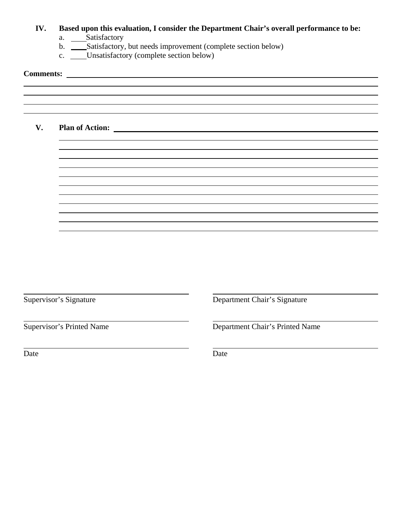|      | Based upon this evaluation, I consider the Department Chair's overall performance to be:<br>a. ____Satisfactory<br>b. _____Satisfactory, but needs improvement (complete section below)<br>c. ____Unsatisfactory (complete section below) |                                          |  |  |  |  |  |
|------|-------------------------------------------------------------------------------------------------------------------------------------------------------------------------------------------------------------------------------------------|------------------------------------------|--|--|--|--|--|
|      |                                                                                                                                                                                                                                           |                                          |  |  |  |  |  |
|      |                                                                                                                                                                                                                                           |                                          |  |  |  |  |  |
| V.   |                                                                                                                                                                                                                                           | Plan of Action: <u>Quality of Action</u> |  |  |  |  |  |
|      |                                                                                                                                                                                                                                           |                                          |  |  |  |  |  |
|      |                                                                                                                                                                                                                                           |                                          |  |  |  |  |  |
|      |                                                                                                                                                                                                                                           |                                          |  |  |  |  |  |
|      |                                                                                                                                                                                                                                           |                                          |  |  |  |  |  |
|      |                                                                                                                                                                                                                                           |                                          |  |  |  |  |  |
|      |                                                                                                                                                                                                                                           |                                          |  |  |  |  |  |
|      | Supervisor's Signature                                                                                                                                                                                                                    | Department Chair's Signature             |  |  |  |  |  |
|      | <b>Supervisor's Printed Name</b>                                                                                                                                                                                                          | Department Chair's Printed Name          |  |  |  |  |  |
| Date |                                                                                                                                                                                                                                           | Date                                     |  |  |  |  |  |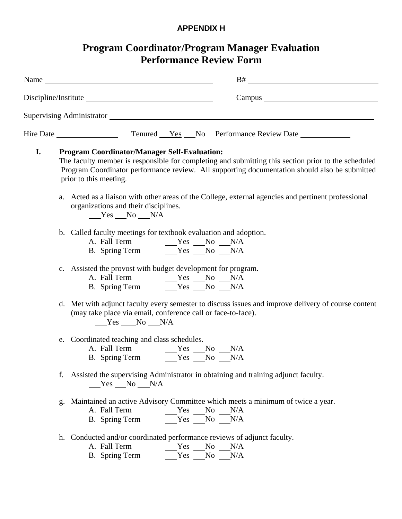# **APPENDIX H**

|    | <b>Program Coordinator/Program Manager Evaluation</b><br><b>Performance Review Form</b>                                                                                                                                                                                                                                                                                                                                                                     |
|----|-------------------------------------------------------------------------------------------------------------------------------------------------------------------------------------------------------------------------------------------------------------------------------------------------------------------------------------------------------------------------------------------------------------------------------------------------------------|
|    | $B# \begin{tabular}{c} \multicolumn{3}{c} {\textbf{B} \#} \\ \multicolumn{3}{c} {\textbf{B} \#} \\ \multicolumn{3}{c} {\textbf{B} \#} \\ \multicolumn{3}{c} {\textbf{B} \#} \\ \multicolumn{3}{c} {\textbf{B} \#} \\ \multicolumn{3}{c} {\textbf{B} \#} \\ \multicolumn{3}{c} {\textbf{B} \#} \\ \multicolumn{3}{c} {\textbf{B} \#} \\ \multicolumn{3}{c} {\textbf{B} \#} \\ \multicolumn{3}{c} {\textbf{B} \#} \\ \multicolumn{3}{c} {\textbf{B} \#} \\ \$ |
|    |                                                                                                                                                                                                                                                                                                                                                                                                                                                             |
|    |                                                                                                                                                                                                                                                                                                                                                                                                                                                             |
|    |                                                                                                                                                                                                                                                                                                                                                                                                                                                             |
| I. | <b>Program Coordinator/Manager Self-Evaluation:</b><br>The faculty member is responsible for completing and submitting this section prior to the scheduled<br>Program Coordinator performance review. All supporting documentation should also be submitted<br>prior to this meeting.                                                                                                                                                                       |
|    | a. Acted as a liaison with other areas of the College, external agencies and pertinent professional<br>organizations and their disciplines.<br>Yes No N/A                                                                                                                                                                                                                                                                                                   |
|    | b. Called faculty meetings for textbook evaluation and adoption.                                                                                                                                                                                                                                                                                                                                                                                            |
|    | c. Assisted the provost with budget development for program.<br>B. Spring Term $Y$ es $N_0$ $N/A$                                                                                                                                                                                                                                                                                                                                                           |
|    | d. Met with adjunct faculty every semester to discuss issues and improve delivery of course content<br>(may take place via email, conference call or face-to-face).<br>$Yes$ No N/A                                                                                                                                                                                                                                                                         |
|    | e. Coordinated teaching and class schedules.<br>A. Fall Term<br>Yes<br>$No$ $N/A$<br>Yes No<br>B. Spring Term<br>N/A                                                                                                                                                                                                                                                                                                                                        |
|    | Assisted the supervising Administrator in obtaining and training adjunct faculty.<br>f.<br>$Yes$ No N/A                                                                                                                                                                                                                                                                                                                                                     |
|    | g. Maintained an active Advisory Committee which meets a minimum of twice a year.<br>A. Fall Term<br>$Yes \t_{No} \t_{NA}$<br>$Yes$ No $N/A$<br>B. Spring Term                                                                                                                                                                                                                                                                                              |
|    | h. Conducted and/or coordinated performance reviews of adjunct faculty.<br>A. Fall Term<br>Yes No N/A<br>$Yes$ No N/A<br>B. Spring Term                                                                                                                                                                                                                                                                                                                     |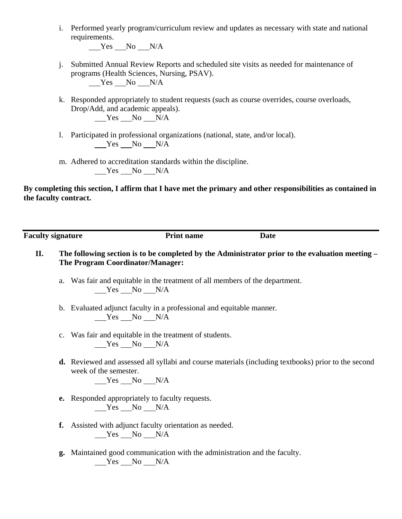i. Performed yearly program/curriculum review and updates as necessary with state and national requirements.

 $Yes$  No N/A

- j. Submitted Annual Review Reports and scheduled site visits as needed for maintenance of programs (Health Sciences, Nursing, PSAV).  $Yes$  No  $N/A$
- k. Responded appropriately to student requests (such as course overrides, course overloads, Drop/Add, and academic appeals).

 $Yes$  No N/A

- l. Participated in professional organizations (national, state, and/or local). Yes No N/A
- m. Adhered to accreditation standards within the discipline.  $Yes$  No N/A

**By completing this section, I affirm that I have met the primary and other responsibilities as contained in the faculty contract.**

**Faculty signature** Print name Date

- **II. The following section is to be completed by the Administrator prior to the evaluation meeting The Program Coordinator/Manager:**
	- a. Was fair and equitable in the treatment of all members of the department.  $Yes$  No N/A
	- b. Evaluated adjunct faculty in a professional and equitable manner.  $Yes$  No N/A
	- c. Was fair and equitable in the treatment of students. Yes No N/A
	- **d.** Reviewed and assessed all syllabi and course materials (including textbooks) prior to the second week of the semester.

 $Yes$  No  $N/A$ 

- **e.** Responded appropriately to faculty requests.  $Yes$  No N/A
- **f.** Assisted with adjunct faculty orientation as needed.  $Yes$  No N/A
- **g.** Maintained good communication with the administration and the faculty. Yes No N/A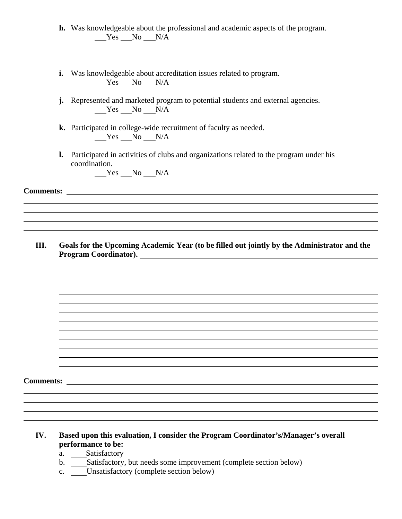- **h.** Was knowledgeable about the professional and academic aspects of the program.  $Yes$  No  $N/A$
- **i.** Was knowledgeable about accreditation issues related to program.  $Yes$  No  $N/A$
- **j.** Represented and marketed program to potential students and external agencies.  $Yes$  No N/A
- **k.** Participated in college-wide recruitment of faculty as needed.  $Yes$   $No$   $N/A$
- **l.** Participated in activities of clubs and organizations related to the program under his coordination.

 $Yes$  No N/A

**Comments:** 

**III. Goals for the Upcoming Academic Year (to be filled out jointly by the Administrator and the Program Coordinator).** 

**Comments:** 

- **IV. Based upon this evaluation, I consider the Program Coordinator's/Manager's overall performance to be:**
	- a. Satisfactory
	- b. \_\_\_\_Satisfactory, but needs some improvement (complete section below)
	- c. Unsatisfactory (complete section below)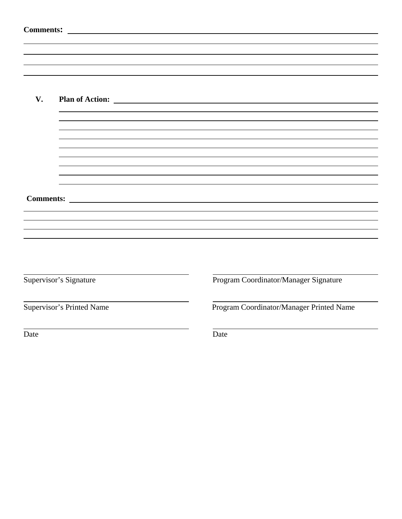|      | <b>Comments:</b><br><u> 1989 - Johann Barbara, martxa amerikan personal (h. 1989).</u> |                                                                                                                                                                                                                                     |                                          |  |
|------|----------------------------------------------------------------------------------------|-------------------------------------------------------------------------------------------------------------------------------------------------------------------------------------------------------------------------------------|------------------------------------------|--|
|      |                                                                                        |                                                                                                                                                                                                                                     |                                          |  |
|      |                                                                                        |                                                                                                                                                                                                                                     |                                          |  |
|      |                                                                                        |                                                                                                                                                                                                                                     |                                          |  |
| V.   |                                                                                        |                                                                                                                                                                                                                                     |                                          |  |
|      |                                                                                        |                                                                                                                                                                                                                                     |                                          |  |
|      |                                                                                        |                                                                                                                                                                                                                                     |                                          |  |
|      |                                                                                        |                                                                                                                                                                                                                                     |                                          |  |
|      |                                                                                        |                                                                                                                                                                                                                                     |                                          |  |
|      |                                                                                        |                                                                                                                                                                                                                                     |                                          |  |
|      |                                                                                        | Comments: <u>comments</u> : comments: comments: comments: comments: comments: comments: comments: comments: comments: comments: comments: comments: comments: comments: comments: comments: comments: comments: comments: comments: |                                          |  |
|      |                                                                                        |                                                                                                                                                                                                                                     |                                          |  |
|      |                                                                                        |                                                                                                                                                                                                                                     |                                          |  |
|      |                                                                                        |                                                                                                                                                                                                                                     |                                          |  |
|      |                                                                                        |                                                                                                                                                                                                                                     |                                          |  |
|      | Supervisor's Signature                                                                 |                                                                                                                                                                                                                                     | Program Coordinator/Manager Signature    |  |
|      | Supervisor's Printed Name                                                              |                                                                                                                                                                                                                                     | Program Coordinator/Manager Printed Name |  |
| Date |                                                                                        |                                                                                                                                                                                                                                     | Date                                     |  |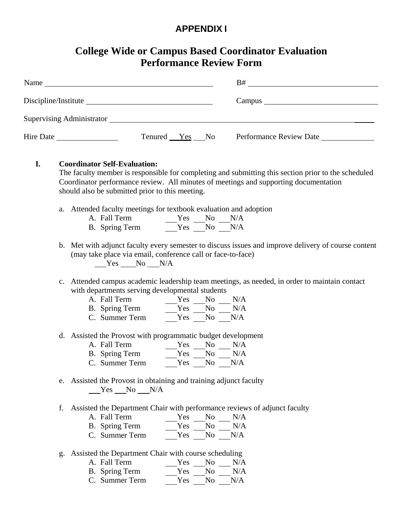# **APPENDIX I**

# **College Wide or Campus Based Coordinator Evaluation Performance Review Form**

| Name                                    |                |  | B#                      |
|-----------------------------------------|----------------|--|-------------------------|
| Discipline/Institute                    |                |  |                         |
| Supervising Administrator New York 1989 |                |  |                         |
| Hire Date                               | Tenured Yes No |  | Performance Review Date |

# **I. Coordinator Self-Evaluation:** The faculty member is responsible for completing and submitting this section prior to the scheduled Coordinator performance review. All minutes of meetings and supporting documentation should also be submitted prior to this meeting.

a. Attended faculty meetings for textbook evaluation and adoption

| A. Fall Term   | Yes No N/A |  |
|----------------|------------|--|
| B. Spring Term | Yes No N/A |  |

b. Met with adjunct faculty every semester to discuss issues and improve delivery of course content (may take place via email, conference call or face-to-face)

Yes No N/A

- c. Attended campus academic leadership team meetings, as needed, in order to maintain contact with departments serving developmental students
	- A. Fall Term Yes No N/A
	- B. Spring Term Yes No N/A
	- C. Summer Term Yes No N/A
- d. Assisted the Provost with programmatic budget development
	- A. Fall Term Yes No N/A
	- B. Spring Term Yes No N/A
	- C. Summer Term Yes No N/A
- e. Assisted the Provost in obtaining and training adjunct faculty  $Yes$  No N/A
- f. Assisted the Department Chair with performance reviews of adjunct faculty
	- A. Fall Term B. Spring Term C. Summer Term Yes No N/A Yes No N/A Yes No N/A
	-
- g. Assisted the Department Chair with course scheduling
	- A. Fall Term Yes No N/A B. Spring Term Yes No N/A
	- C. Summer Term Yes No N/A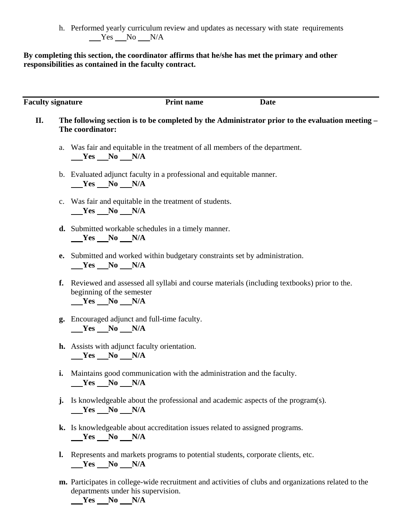h. Performed yearly curriculum review and updates as necessary with state requirements  $Yes$  No  $N/A$ 

## **By completing this section, the coordinator affirms that he/she has met the primary and other responsibilities as contained in the faculty contract.**

| <b>Faculty signature</b> |    | <b>Print name</b><br><b>Date</b>                                                                                                          |
|--------------------------|----|-------------------------------------------------------------------------------------------------------------------------------------------|
| П.                       |    | The following section is to be completed by the Administrator prior to the evaluation meeting –<br>The coordinator:                       |
|                          |    | a. Was fair and equitable in the treatment of all members of the department.<br>$Yes$ No $N/A$                                            |
|                          |    | b. Evaluated adjunct faculty in a professional and equitable manner.<br>$Yes$ No $N/A$                                                    |
|                          |    | c. Was fair and equitable in the treatment of students.<br>$Yes$ No $N/A$                                                                 |
|                          |    | <b>d.</b> Submitted workable schedules in a timely manner.<br>$Yes$ No $N/A$                                                              |
|                          |    | e. Submitted and worked within budgetary constraints set by administration.<br>$Yes$ No $N/A$                                             |
|                          | f. | Reviewed and assessed all syllabi and course materials (including textbooks) prior to the.<br>beginning of the semester<br>$Yes$ No $N/A$ |
|                          |    | g. Encouraged adjunct and full-time faculty.<br>$Yes$ No $N/A$                                                                            |
|                          |    | <b>h.</b> Assists with adjunct faculty orientation.<br>$Yes$ No $N/A$                                                                     |
|                          | i. | Maintains good communication with the administration and the faculty.<br>$Yes \_\tNo \_\tN/A$                                             |
|                          | j. | Is knowledgeable about the professional and academic aspects of the program(s).<br>$Yes$ No $N/A$                                         |
|                          |    | k. Is knowledgeable about accreditation issues related to assigned programs.<br>$Yes$ No N/A                                              |
|                          | l. | Represents and markets programs to potential students, corporate clients, etc.<br>N/A<br>Yes<br>$\bf No$                                  |

**m.** Participates in college-wide recruitment and activities of clubs and organizations related to the departments under his supervision.

 $Yes$  No  $N/A$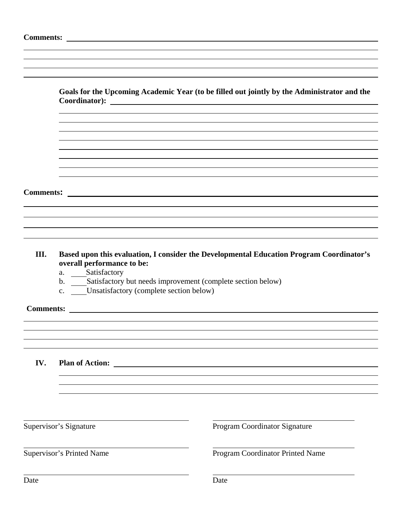|      |                                                                                                                                                                          | Goals for the Upcoming Academic Year (to be filled out jointly by the Administrator and the<br>Coordinator): Note that the contract of the contract of the contract of the contract of the contract of the contract of the contract of the contract of the contract of the contract of the contract of the contract of the co |
|------|--------------------------------------------------------------------------------------------------------------------------------------------------------------------------|-------------------------------------------------------------------------------------------------------------------------------------------------------------------------------------------------------------------------------------------------------------------------------------------------------------------------------|
|      |                                                                                                                                                                          |                                                                                                                                                                                                                                                                                                                               |
|      |                                                                                                                                                                          |                                                                                                                                                                                                                                                                                                                               |
|      |                                                                                                                                                                          |                                                                                                                                                                                                                                                                                                                               |
|      |                                                                                                                                                                          |                                                                                                                                                                                                                                                                                                                               |
|      |                                                                                                                                                                          |                                                                                                                                                                                                                                                                                                                               |
|      |                                                                                                                                                                          |                                                                                                                                                                                                                                                                                                                               |
|      |                                                                                                                                                                          |                                                                                                                                                                                                                                                                                                                               |
|      |                                                                                                                                                                          |                                                                                                                                                                                                                                                                                                                               |
|      |                                                                                                                                                                          |                                                                                                                                                                                                                                                                                                                               |
|      |                                                                                                                                                                          |                                                                                                                                                                                                                                                                                                                               |
|      |                                                                                                                                                                          |                                                                                                                                                                                                                                                                                                                               |
| III. | overall performance to be:<br>a. ____Satisfactory<br>b. Satisfactory but needs improvement (complete section below)<br>c. <b>Unsatisfactory</b> (complete section below) | Based upon this evaluation, I consider the Developmental Education Program Coordinator's                                                                                                                                                                                                                                      |
|      |                                                                                                                                                                          |                                                                                                                                                                                                                                                                                                                               |
|      |                                                                                                                                                                          |                                                                                                                                                                                                                                                                                                                               |
|      |                                                                                                                                                                          |                                                                                                                                                                                                                                                                                                                               |
| IV.  | <b>Plan of Action:</b>                                                                                                                                                   |                                                                                                                                                                                                                                                                                                                               |
|      |                                                                                                                                                                          |                                                                                                                                                                                                                                                                                                                               |
|      |                                                                                                                                                                          |                                                                                                                                                                                                                                                                                                                               |
|      | Supervisor's Signature                                                                                                                                                   | Program Coordinator Signature                                                                                                                                                                                                                                                                                                 |
|      | <b>Supervisor's Printed Name</b>                                                                                                                                         | Program Coordinator Printed Name                                                                                                                                                                                                                                                                                              |
| Date |                                                                                                                                                                          | Date                                                                                                                                                                                                                                                                                                                          |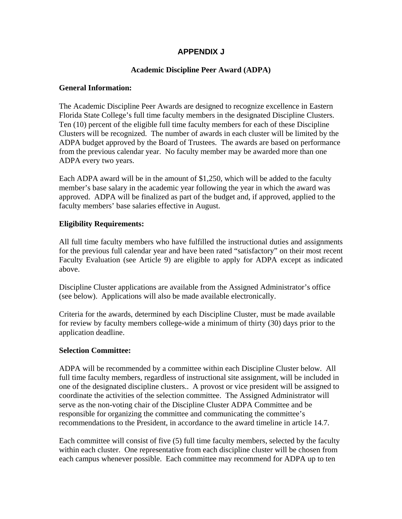## **APPENDIX J**

## **Academic Discipline Peer Award (ADPA)**

## **General Information:**

The Academic Discipline Peer Awards are designed to recognize excellence in Eastern Florida State College's full time faculty members in the designated Discipline Clusters. Ten (10) percent of the eligible full time faculty members for each of these Discipline Clusters will be recognized. The number of awards in each cluster will be limited by the ADPA budget approved by the Board of Trustees. The awards are based on performance from the previous calendar year. No faculty member may be awarded more than one ADPA every two years.

Each ADPA award will be in the amount of \$1,250, which will be added to the faculty member's base salary in the academic year following the year in which the award was approved. ADPA will be finalized as part of the budget and, if approved, applied to the faculty members' base salaries effective in August.

## **Eligibility Requirements:**

All full time faculty members who have fulfilled the instructional duties and assignments for the previous full calendar year and have been rated "satisfactory" on their most recent Faculty Evaluation (see Article 9) are eligible to apply for ADPA except as indicated above.

Discipline Cluster applications are available from the Assigned Administrator's office (see below). Applications will also be made available electronically.

Criteria for the awards, determined by each Discipline Cluster, must be made available for review by faculty members college-wide a minimum of thirty (30) days prior to the application deadline.

## **Selection Committee:**

ADPA will be recommended by a committee within each Discipline Cluster below. All full time faculty members, regardless of instructional site assignment, will be included in one of the designated discipline clusters.. A provost or vice president will be assigned to coordinate the activities of the selection committee. The Assigned Administrator will serve as the non-voting chair of the Discipline Cluster ADPA Committee and be responsible for organizing the committee and communicating the committee's recommendations to the President, in accordance to the award timeline in article 14.7.

Each committee will consist of five (5) full time faculty members, selected by the faculty within each cluster. One representative from each discipline cluster will be chosen from each campus whenever possible. Each committee may recommend for ADPA up to ten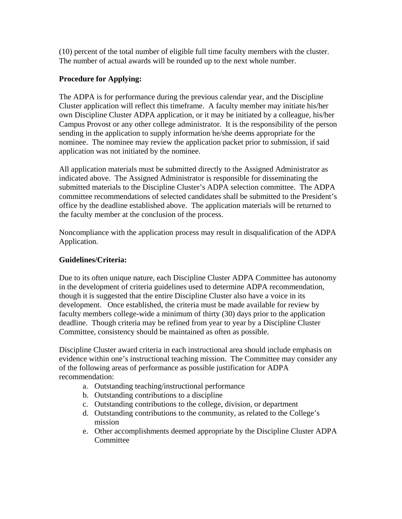(10) percent of the total number of eligible full time faculty members with the cluster. The number of actual awards will be rounded up to the next whole number.

## **Procedure for Applying:**

The ADPA is for performance during the previous calendar year, and the Discipline Cluster application will reflect this timeframe. A faculty member may initiate his/her own Discipline Cluster ADPA application, or it may be initiated by a colleague, his/her Campus Provost or any other college administrator. It is the responsibility of the person sending in the application to supply information he/she deems appropriate for the nominee. The nominee may review the application packet prior to submission, if said application was not initiated by the nominee.

All application materials must be submitted directly to the Assigned Administrator as indicated above. The Assigned Administrator is responsible for disseminating the submitted materials to the Discipline Cluster's ADPA selection committee. The ADPA committee recommendations of selected candidates shall be submitted to the President's office by the deadline established above. The application materials will be returned to the faculty member at the conclusion of the process.

Noncompliance with the application process may result in disqualification of the ADPA Application.

## **Guidelines/Criteria:**

Due to its often unique nature, each Discipline Cluster ADPA Committee has autonomy in the development of criteria guidelines used to determine ADPA recommendation, though it is suggested that the entire Discipline Cluster also have a voice in its development. Once established, the criteria must be made available for review by faculty members college-wide a minimum of thirty (30) days prior to the application deadline. Though criteria may be refined from year to year by a Discipline Cluster Committee, consistency should be maintained as often as possible.

Discipline Cluster award criteria in each instructional area should include emphasis on evidence within one's instructional teaching mission. The Committee may consider any of the following areas of performance as possible justification for ADPA recommendation:

- a. Outstanding teaching/instructional performance
- b. Outstanding contributions to a discipline
- c. Outstanding contributions to the college, division, or department
- d. Outstanding contributions to the community, as related to the College's mission
- e. Other accomplishments deemed appropriate by the Discipline Cluster ADPA Committee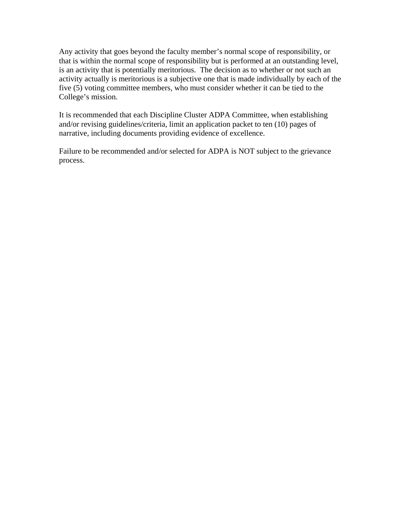Any activity that goes beyond the faculty member's normal scope of responsibility, or that is within the normal scope of responsibility but is performed at an outstanding level, is an activity that is potentially meritorious. The decision as to whether or not such an activity actually is meritorious is a subjective one that is made individually by each of the five (5) voting committee members, who must consider whether it can be tied to the College's mission.

It is recommended that each Discipline Cluster ADPA Committee, when establishing and/or revising guidelines/criteria, limit an application packet to ten (10) pages of narrative, including documents providing evidence of excellence.

Failure to be recommended and/or selected for ADPA is NOT subject to the grievance process.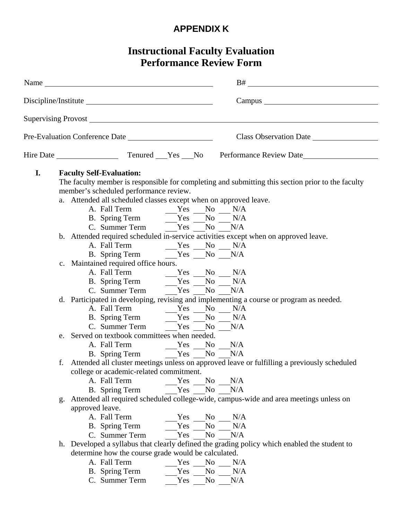# **APPENDIX K**

# **Instructional Faculty Evaluation Performance Review Form**

 $\overline{\phantom{a}}$ 

|    |    |                 |                                                                                                                                                                                                                                                                                                                                                                                                                       |                          |                                                          | Supervising Provost <u>example and the contract of the set of the set of the set of the set of the set of the set of</u>                                                                                            |                        |
|----|----|-----------------|-----------------------------------------------------------------------------------------------------------------------------------------------------------------------------------------------------------------------------------------------------------------------------------------------------------------------------------------------------------------------------------------------------------------------|--------------------------|----------------------------------------------------------|---------------------------------------------------------------------------------------------------------------------------------------------------------------------------------------------------------------------|------------------------|
|    |    |                 | Pre-Evaluation Conference Date                                                                                                                                                                                                                                                                                                                                                                                        |                          |                                                          |                                                                                                                                                                                                                     | Class Observation Date |
|    |    |                 |                                                                                                                                                                                                                                                                                                                                                                                                                       |                          |                                                          |                                                                                                                                                                                                                     |                        |
| I. |    |                 | <b>Faculty Self-Evaluation:</b><br>member's scheduled performance review.<br>a. Attended all scheduled classes except when on approved leave.<br>A. Fall Term $Y$ es No N/A<br>B. Spring Term $Y$ es No N/A<br>C. Summer Term Yes No N/A<br>c. Maintained required office hours.<br>A. Fall Term $\begin{array}{c c}\nXes & No & N/A \\ \hline\n\end{array}$ No $\begin{array}{c c}\nN/A \\ \hline\nN/A\n\end{array}$ |                          |                                                          | The faculty member is responsible for completing and submitting this section prior to the faculty<br>b. Attended required scheduled in-service activities except when on approved leave.                            |                        |
|    |    |                 | C. Summer Term Yes No N/A<br>B. Spring Term Yes No N/A<br>C. Summer Term Yes No N/A                                                                                                                                                                                                                                                                                                                                   |                          |                                                          | d. Participated in developing, revising and implementing a course or program as needed.                                                                                                                             |                        |
|    |    |                 | e. Served on textbook committees when needed.                                                                                                                                                                                                                                                                                                                                                                         |                          |                                                          |                                                                                                                                                                                                                     |                        |
|    | g. | approved leave. | college or academic-related commitment.<br>A. Fall Term<br>B. Spring Term<br>A. Fall Term<br>B. Spring Term                                                                                                                                                                                                                                                                                                           | Yes<br>Yes<br>Yes<br>Yes | N <sub>o</sub><br>N <sub>o</sub><br>No<br>N <sub>o</sub> | f. Attended all cluster meetings unless on approved leave or fulfilling a previously scheduled<br>N/A<br>N/A<br>Attended all required scheduled college-wide, campus-wide and area meetings unless on<br>N/A<br>N/A |                        |
|    |    |                 | C. Summer Term<br>determine how the course grade would be calculated.<br>A. Fall Term<br>B. Spring Term                                                                                                                                                                                                                                                                                                               | Yes<br>Yes<br>Yes        | N <sub>o</sub><br>No<br>No                               | N/A<br>h. Developed a syllabus that clearly defined the grading policy which enabled the student to<br>N/A<br>N/A                                                                                                   |                        |

C. Summer Term Yes No N/A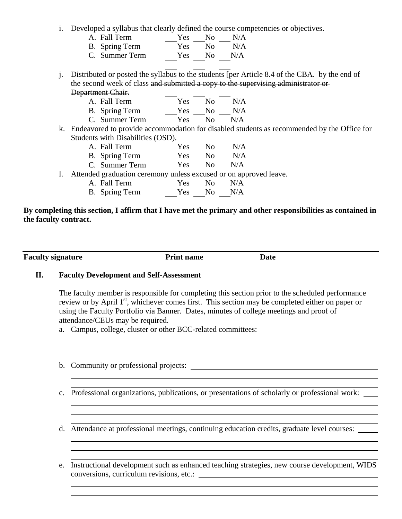i. Developed a syllabus that clearly defined the course competencies or objectives.

| A. Fall Term   | Yes        | N <sub>0</sub> | N/A |
|----------------|------------|----------------|-----|
| B. Spring Term | <b>Yes</b> | N <sub>0</sub> | N/A |
| C. Summer Term | Yes.       | -No            | N/A |
|                |            |                |     |

j. Distributed or posted the syllabus to the students [per Article 8.4 of the CBA. by the end of the second week of class and submitted a copy to the supervising administrator or Department Chair.

| A. Fall Term   | Yes No | N/A |
|----------------|--------|-----|
| B. Spring Term | Yes No | N/A |

- C. Summer Term Yes No N/A
- k. Endeavored to provide accommodation for disabled students as recommended by the Office for Students with Disabilities (OSD).
	- A. Fall Term Yes No N/A
	- B. Spring Term Yes No N/A
	- C. Summer Term Yes No N/A
- l. Attended graduation ceremony unless excused or on approved leave.
	- A. Fall Term Yes No N/A
	- B. Spring Term Yes No N/A

## **By completing this section, I affirm that I have met the primary and other responsibilities as contained in the faculty contract.**

**Faculty signature** Print name Date

## **II. Faculty Development and Self-Assessment**

The faculty member is responsible for completing this section prior to the scheduled performance review or by April  $1<sup>st</sup>$ , whichever comes first. This section may be completed either on paper or using the Faculty Portfolio via Banner. Dates, minutes of college meetings and proof of attendance/CEUs may be required.

a. Campus, college, cluster or other BCC-related committees:

- b. Community or professional projects:
- c. Professional organizations, publications, or presentations of scholarly or professional work:

d. Attendance at professional meetings, continuing education credits, graduate level courses:

e. Instructional development such as enhanced teaching strategies, new course development, WIDS conversions, curriculum revisions, etc.: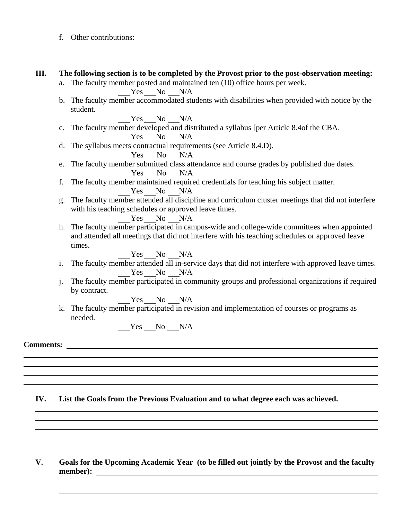- f. Other contributions: **III. The following section is to be completed by the Provost prior to the post-observation meeting:** a. The faculty member posted and maintained ten (10) office hours per week. Yes No N/A b. The faculty member accommodated students with disabilities when provided with notice by the student. Yes No N/A c. The faculty member developed and distributed a syllabus [per Article 8.4of the CBA. Yes No N/A d. The syllabus meets contractual requirements (see Article 8.4.D). Yes No N/A e. The faculty member submitted class attendance and course grades by published due dates. Yes No N/A f. The faculty member maintained required credentials for teaching his subject matter. Yes No N/A g. The faculty member attended all discipline and curriculum cluster meetings that did not interfere with his teaching schedules or approved leave times. Yes No N/A h. The faculty member participated in campus-wide and college-wide committees when appointed and attended all meetings that did not interfere with his teaching schedules or approved leave times. Yes No N/A i. The faculty member attended all in-service days that did not interfere with approved leave times. Yes No N/A j. The faculty member participated in community groups and professional organizations if required by contract. Yes No N/A k. The faculty member participated in revision and implementation of courses or programs as needed.  $Yes$  No N/A **Comments: IV. List the Goals from the Previous Evaluation and to what degree each was achieved.**
	- **V. Goals for the Upcoming Academic Year (to be filled out jointly by the Provost and the faculty member):**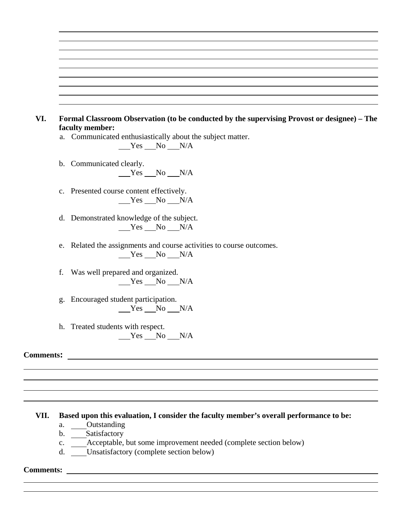- **VI. Formal Classroom Observation (to be conducted by the supervising Provost or designee) The faculty member:**
	- a. Communicated enthusiastically about the subject matter.

 $Yes$  No N/A

- b. Communicated clearly.  $Yes$  No N/A
- c. Presented course content effectively.  $Yes$  No  $N/A$
- d. Demonstrated knowledge of the subject. Yes No N/A
- e. Related the assignments and course activities to course outcomes.  $Yes$  No  $N/A$
- f. Was well prepared and organized.  $Yes$  No N/A
- g. Encouraged student participation.  $Yes$  No N/A
- h. Treated students with respect.  $Yes$  No  $N/A$

**Comments:** 

### **VII. Based upon this evaluation, I consider the faculty member's overall performance to be:**

- a. Outstanding
- b. Satisfactory
- c. Acceptable, but some improvement needed (complete section below)
- d. Unsatisfactory (complete section below)

#### **Comments:**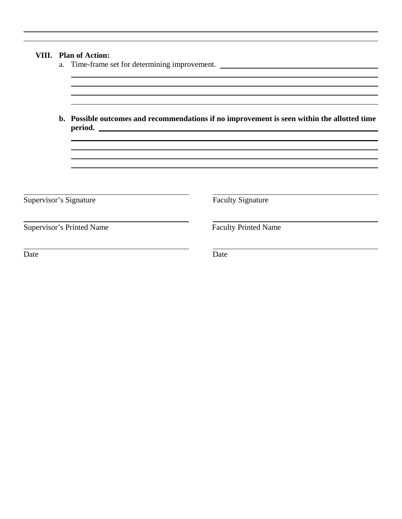|                        | VIII. Plan of Action:<br>a. Time-frame set for determining improvement.                                |                             |  |  |  |  |  |
|------------------------|--------------------------------------------------------------------------------------------------------|-----------------------------|--|--|--|--|--|
|                        |                                                                                                        |                             |  |  |  |  |  |
|                        | b. Possible outcomes and recommendations if no improvement is seen within the allotted time<br>period. |                             |  |  |  |  |  |
|                        |                                                                                                        |                             |  |  |  |  |  |
|                        |                                                                                                        |                             |  |  |  |  |  |
|                        |                                                                                                        |                             |  |  |  |  |  |
| Supervisor's Signature |                                                                                                        | <b>Faculty Signature</b>    |  |  |  |  |  |
|                        | <b>Supervisor's Printed Name</b>                                                                       | <b>Faculty Printed Name</b> |  |  |  |  |  |
| Date                   |                                                                                                        | Date                        |  |  |  |  |  |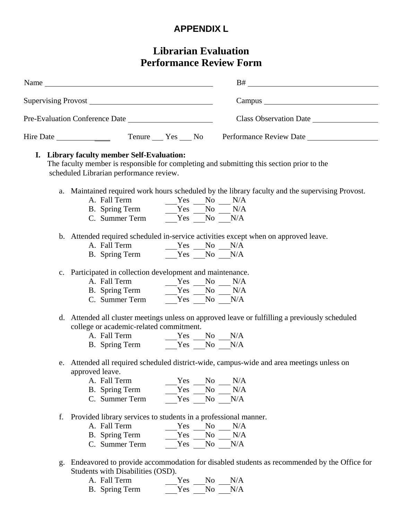# **APPENDIX L**

# **Librarian Evaluation Performance Review Form**

|    | Name                                                                                                                                                                                                                                   |     |                |                                                                                                 |
|----|----------------------------------------------------------------------------------------------------------------------------------------------------------------------------------------------------------------------------------------|-----|----------------|-------------------------------------------------------------------------------------------------|
|    |                                                                                                                                                                                                                                        |     |                |                                                                                                 |
|    |                                                                                                                                                                                                                                        |     |                |                                                                                                 |
|    | Hire Date                                                                                                                                                                                                                              |     |                | Tenure Yes No Performance Review Date                                                           |
|    | I. Library faculty member Self-Evaluation:<br>scheduled Librarian performance review.                                                                                                                                                  |     |                | The faculty member is responsible for completing and submitting this section prior to the       |
|    |                                                                                                                                                                                                                                        |     |                | a. Maintained required work hours scheduled by the library faculty and the supervising Provost. |
|    | A. Fall Term<br>B. Spring Term<br>C. Summer Term<br>$\begin{array}{r} \n\text{Yes} \quad \text{No} \quad \text{N/A} \\ \hline \text{Yes} \quad \text{No} \quad \text{N/A} \\ \text{Yes} \quad \text{No} \quad \text{N/A}\n\end{array}$ |     |                |                                                                                                 |
|    |                                                                                                                                                                                                                                        |     |                |                                                                                                 |
|    |                                                                                                                                                                                                                                        |     |                |                                                                                                 |
|    |                                                                                                                                                                                                                                        |     |                | b. Attended required scheduled in-service activities except when on approved leave.             |
|    |                                                                                                                                                                                                                                        |     |                |                                                                                                 |
|    | A. Fall Term $\begin{array}{c c}\nXes & No & N/A \\ \hline\nB. & Spring Term & & Yes & No & N/A\n\end{array}$                                                                                                                          |     |                |                                                                                                 |
|    | c. Participated in collection development and maintenance.                                                                                                                                                                             |     |                |                                                                                                 |
|    |                                                                                                                                                                                                                                        |     |                |                                                                                                 |
|    |                                                                                                                                                                                                                                        |     |                |                                                                                                 |
|    | C. Summer Term $Y_{\text{res}}$ $N_0$ $N/A$                                                                                                                                                                                            |     |                |                                                                                                 |
|    | college or academic-related commitment.                                                                                                                                                                                                |     |                | d. Attended all cluster meetings unless on approved leave or fulfilling a previously scheduled  |
|    |                                                                                                                                                                                                                                        |     |                |                                                                                                 |
|    | A. Fall Term $\begin{array}{c c}\n\text{Yes} & \text{No} & \text{N/A} \\ \hline\n\text{B. Spring Term} & \text{Yes} & \text{No} & \text{N/A}\n\end{array}$                                                                             |     |                |                                                                                                 |
|    | approved leave.                                                                                                                                                                                                                        |     |                | e. Attended all required scheduled district-wide, campus-wide and area meetings unless on       |
|    | A. Fall Term                                                                                                                                                                                                                           | Yes | N <sub>o</sub> | N/A                                                                                             |
|    | B. Spring Term                                                                                                                                                                                                                         | Yes | No             | N/A                                                                                             |
|    | C. Summer Term                                                                                                                                                                                                                         | Yes | No             | N/A                                                                                             |
| f. | Provided library services to students in a professional manner.                                                                                                                                                                        |     |                |                                                                                                 |
|    | A. Fall Term                                                                                                                                                                                                                           | Yes | N <sub>o</sub> | N/A                                                                                             |
|    | B. Spring Term                                                                                                                                                                                                                         | Yes | N <sub>o</sub> | N/A                                                                                             |
|    |                                                                                                                                                                                                                                        | Yes | No             |                                                                                                 |

A. Fall Term B. Spring Term Yes Yes No N/A No N/A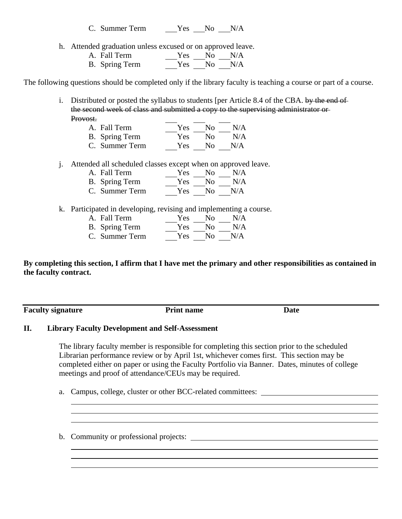C. Summer Term Yes No N/A

h. Attended graduation unless excused or on approved leave.

| A. Fall Term   | Yes | $N_{\Omega}$ | N/A |
|----------------|-----|--------------|-----|
| B. Spring Term |     | Yes No       | N/A |

The following questions should be completed only if the library faculty is teaching a course or part of a course.

i. Distributed or posted the syllabus to students [per Article 8.4 of the CBA. by the end of the second week of class and submitted a copy to the supervising administrator or Provost.

- A. Fall Term Yes No N/A
- B. Spring Term C. Summer Term Yes Yes No N/A No N/A
- j. Attended all scheduled classes except when on approved leave.
	- A. Fall Term B. Spring Term Yes No N/A Yes No N/A
	- C. Summer Term Yes No N/A
- k. Participated in developing, revising and implementing a course.
	- A. Fall Term B. Spring Term C. Summer Term Yes No N/A Yes No N/A Yes No N/A

**By completing this section, I affirm that I have met the primary and other responsibilities as contained in the faculty contract.**

**Faculty signature** Print name Date

## **II. Library Faculty Development and Self-Assessment**

The library faculty member is responsible for completing this section prior to the scheduled Librarian performance review or by April 1st, whichever comes first. This section may be completed either on paper or using the Faculty Portfolio via Banner. Dates, minutes of college meetings and proof of attendance/CEUs may be required.

a. Campus, college, cluster or other BCC-related committees:

b. Community or professional projects: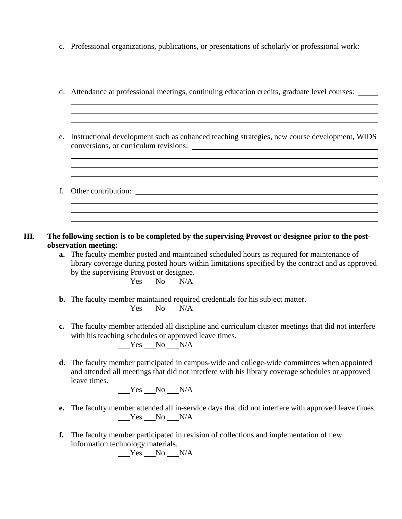c. Professional organizations, publications, or presentations of scholarly or professional work:

<u> 1989 - Johann Barbara, martxa alemaniar argametra (h. 1989).</u>

- d. Attendance at professional meetings, continuing education credits, graduate level courses:
- e. Instructional development such as enhanced teaching strategies, new course development, WIDS conversions, or curriculum revisions:
- f. Other contribution:
- **III. The following section is to be completed by the supervising Provost or designee prior to the postobservation meeting:**
	- **a.** The faculty member posted and maintained scheduled hours as required for maintenance of library coverage during posted hours within limitations specified by the contract and as approved by the supervising Provost or designee.

 $Yes$  No N/A

- **b.** The faculty member maintained required credentials for his subject matter.  $Yes$  No N/A
- **c.** The faculty member attended all discipline and curriculum cluster meetings that did not interfere with his teaching schedules or approved leave times. Yes No N/A
- **d.** The faculty member participated in campus-wide and college-wide committees when appointed and attended all meetings that did not interfere with his library coverage schedules or approved leave times.

Yes No N/A

- **e.** The faculty member attended all in-service days that did not interfere with approved leave times.  $Yes$  No  $N/A$
- **f.** The faculty member participated in revision of collections and implementation of new information technology materials.

 $Yes$  No  $N/A$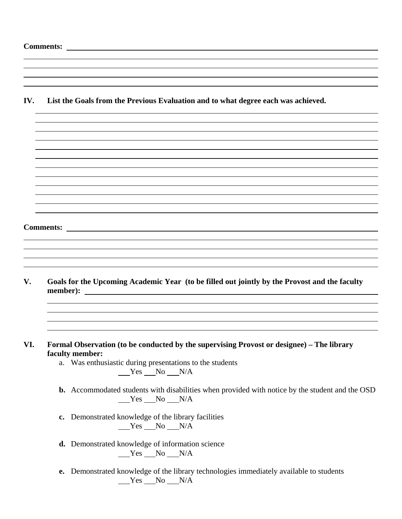| IV. |               | List the Goals from the Previous Evaluation and to what degree each was achieved.                                        |
|-----|---------------|--------------------------------------------------------------------------------------------------------------------------|
|     |               |                                                                                                                          |
|     |               |                                                                                                                          |
|     |               |                                                                                                                          |
|     |               |                                                                                                                          |
|     |               |                                                                                                                          |
|     |               |                                                                                                                          |
|     |               |                                                                                                                          |
|     |               |                                                                                                                          |
|     |               |                                                                                                                          |
|     |               |                                                                                                                          |
|     |               |                                                                                                                          |
|     |               |                                                                                                                          |
|     |               |                                                                                                                          |
|     |               |                                                                                                                          |
|     |               |                                                                                                                          |
|     |               |                                                                                                                          |
|     |               |                                                                                                                          |
|     |               |                                                                                                                          |
| V.  |               | Goals for the Upcoming Academic Year (to be filled out jointly by the Provost and the faculty                            |
|     |               |                                                                                                                          |
|     |               |                                                                                                                          |
|     |               |                                                                                                                          |
|     |               |                                                                                                                          |
| VI. |               | Formal Observation (to be conducted by the supervising Provost or designee) - The library<br>faculty member:             |
|     |               | a. Was enthusiastic during presentations to the students                                                                 |
|     |               | $Yes$ No $N/A$                                                                                                           |
|     |               |                                                                                                                          |
|     |               | <b>b.</b> Accommodated students with disabilities when provided with notice by the student and the OSD<br>$Yes$ No $N/A$ |
|     | $c_{\bullet}$ | Demonstrated knowledge of the library facilities<br>$Yes$ No $N/A$                                                       |
|     |               | d. Demonstrated knowledge of information science<br>$Yes$ No $N/A$                                                       |
|     | e.            | Demonstrated knowledge of the library technologies immediately available to students<br>$Yes$ No $N/A$                   |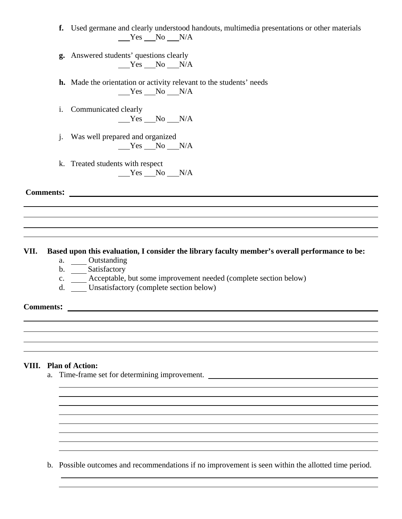- **f.** Used germane and clearly understood handouts, multimedia presentations or other materials  $Yes$  No  $N/A$
- **g.** Answered students' questions clearly  $Yes$  No  $N/A$
- **h.** Made the orientation or activity relevant to the students' needs  $Yes$  No  $N/A$
- i. Communicated clearly  $Yes$  No N/A
- j. Was well prepared and organized  $Yes$  No N/A
- k. Treated students with respect  $Yes$  No N/A

**Comments:** 

## **VII. Based upon this evaluation, I consider the library faculty member's overall performance to be:**

- a. Outstanding
- b. Satisfactory
- c. Acceptable, but some improvement needed (complete section below)
- d. Unsatisfactory (complete section below)

**Comments:** 

## **VIII. Plan of Action:**

a. Time-frame set for determining improvement.

b. Possible outcomes and recommendations if no improvement is seen within the allotted time period.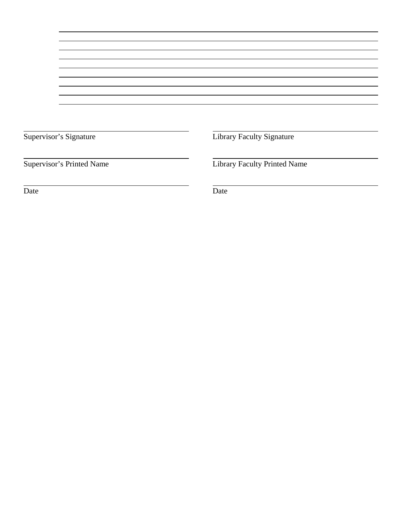| Supervisor's Signature |  |
|------------------------|--|
|------------------------|--|

Library Faculty Signature

Supervisor's Printed Name Library Faculty Printed Name

Date Date Date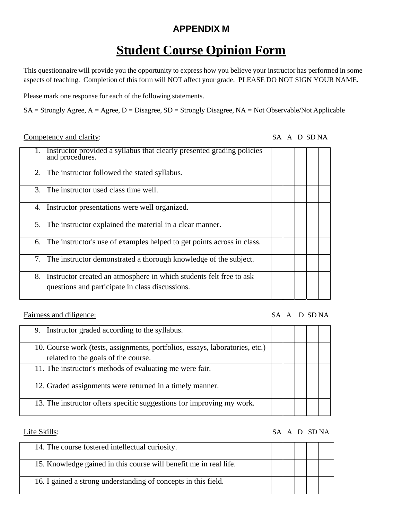# **APPENDIX M**

# **Student Course Opinion Form**

This questionnaire will provide you the opportunity to express how you believe your instructor has performed in some aspects of teaching. Completion of this form will NOT affect your grade. PLEASE DO NOT SIGN YOUR NAME.

Please mark one response for each of the following statements.

SA = Strongly Agree, A = Agree, D = Disagree, SD = Strongly Disagree, NA = Not Observable/Not Applicable

## Competency and clarity: SA A D SD NA

| Instructor provided a syllabus that clearly presented grading policies<br>and procedures.                                    |  |  |
|------------------------------------------------------------------------------------------------------------------------------|--|--|
| 2. The instructor followed the stated syllabus.                                                                              |  |  |
| 3. The instructor used class time well.                                                                                      |  |  |
| Instructor presentations were well organized.<br>4.                                                                          |  |  |
| The instructor explained the material in a clear manner.<br>5.                                                               |  |  |
| The instructor's use of examples helped to get points across in class.<br>6.                                                 |  |  |
| The instructor demonstrated a thorough knowledge of the subject.<br>7.                                                       |  |  |
| Instructor created an atmosphere in which students felt free to ask<br>8.<br>questions and participate in class discussions. |  |  |

Fairness and diligence: SA A D SD NA

| 9. Instructor graded according to the syllabus.                                                                     |  |
|---------------------------------------------------------------------------------------------------------------------|--|
| 10. Course work (tests, assignments, portfolios, essays, laboratories, etc.)<br>related to the goals of the course. |  |
| 11. The instructor's methods of evaluating me were fair.                                                            |  |
| 12. Graded assignments were returned in a timely manner.                                                            |  |
| 13. The instructor offers specific suggestions for improving my work.                                               |  |

## Life Skills: SA A D SD NA

| 14. The course fostered intellectual curiosity.                   |  |  |  |
|-------------------------------------------------------------------|--|--|--|
| 15. Knowledge gained in this course will benefit me in real life. |  |  |  |
| 16. I gained a strong understanding of concepts in this field.    |  |  |  |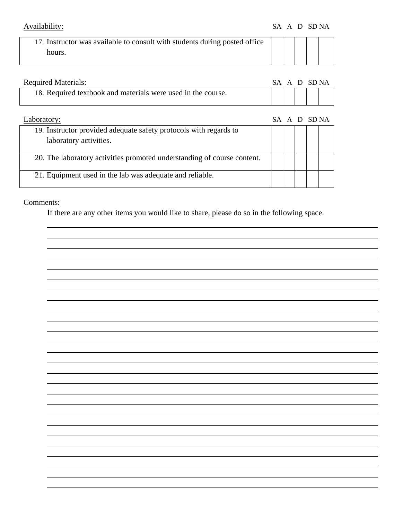| 17. Instructor was available to consult with students during posted office |  |  |  |
|----------------------------------------------------------------------------|--|--|--|
| hours.                                                                     |  |  |  |
|                                                                            |  |  |  |

| <b>Required Materials:</b>                                   | SA A D SDNA |  |  |
|--------------------------------------------------------------|-------------|--|--|
| 18. Required textbook and materials were used in the course. |             |  |  |

| Laboratory:                                                             |  | SA A D SDNA |  |
|-------------------------------------------------------------------------|--|-------------|--|
| 19. Instructor provided adequate safety protocols with regards to       |  |             |  |
| laboratory activities.                                                  |  |             |  |
| 20. The laboratory activities promoted understanding of course content. |  |             |  |
| 21. Equipment used in the lab was adequate and reliable.                |  |             |  |

## Comments:

If there are any other items you would like to share, please do so in the following space.

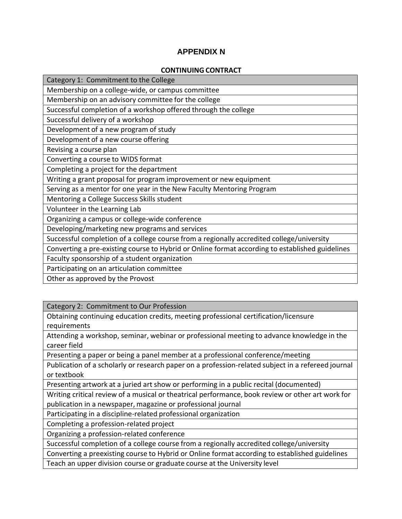## **APPENDIX N**

### **CONTINUING CONTRACT**

| Category 1: Commitment to the College                                                           |
|-------------------------------------------------------------------------------------------------|
| Membership on a college-wide, or campus committee                                               |
| Membership on an advisory committee for the college                                             |
| Successful completion of a workshop offered through the college                                 |
| Successful delivery of a workshop                                                               |
| Development of a new program of study                                                           |
| Development of a new course offering                                                            |
| Revising a course plan                                                                          |
| Converting a course to WIDS format                                                              |
| Completing a project for the department                                                         |
| Writing a grant proposal for program improvement or new equipment                               |
| Serving as a mentor for one year in the New Faculty Mentoring Program                           |
| Mentoring a College Success Skills student                                                      |
| Volunteer in the Learning Lab                                                                   |
| Organizing a campus or college-wide conference                                                  |
| Developing/marketing new programs and services                                                  |
| Successful completion of a college course from a regionally accredited college/university       |
| Converting a pre-existing course to Hybrid or Online format according to established guidelines |
| Faculty sponsorship of a student organization                                                   |
| Participating on an articulation committee                                                      |
| Other as approved by the Provost                                                                |
|                                                                                                 |

Category 2: Commitment to Our Profession

Obtaining continuing education credits, meeting professional certification/licensure requirements

Attending a workshop, seminar, webinar or professional meeting to advance knowledge in the career field

Presenting a paper or being a panel member at a professional conference/meeting

Publication of a scholarly or research paper on a profession‐related subject in a refereed journal or textbook

Presenting artwork at a juried art show or performing in a public recital (documented)

Writing critical review of a musical or theatrical performance, book review or other art work for publication in a newspaper, magazine or professional journal

Participating in a discipline‐related professional organization

Completing a profession‐related project

Organizing a profession‐related conference

Successful completion of a college course from a regionally accredited college/university

Converting a preexisting course to Hybrid or Online format according to established guidelines

Teach an upper division course or graduate course at the University level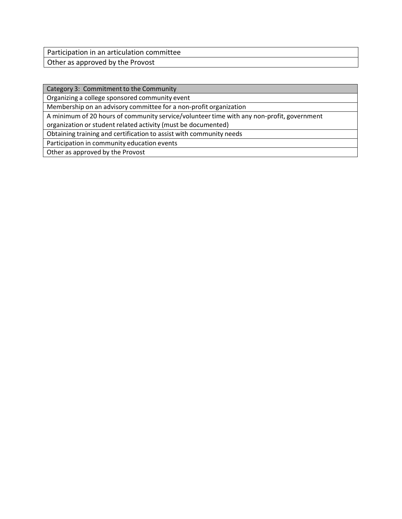Participation in an articulation committee

Other as approved by the Provost

Category 3: Commitment to the Community

Organizing a college sponsored community event

Membership on an advisory committee for a non‐profit organization

A minimum of 20 hours of community service/volunteer time with any non-profit, government organization or student related activity (must be documented)

Obtaining training and certification to assist with community needs

Participation in community education events

Other as approved by the Provost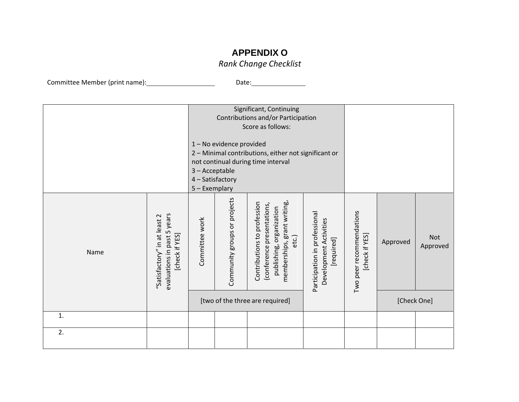# **APPENDIX O**

## *Rank Change Checklist*

Committee Member (print name):\_\_\_\_\_\_\_\_\_\_\_\_\_\_\_\_\_\_\_\_\_\_\_\_\_\_\_\_\_\_\_\_Date:

|      |                                                                                  | 3-Acceptable<br>4 - Satisfactory<br>5 - Exemplary | 1-No evidence provided       | Significant, Continuing<br>Contributions and/or Participation<br>Score as follows:<br>2 - Minimal contributions, either not significant or<br>not continual during time interval |                                                                       |                                            |          |                        |
|------|----------------------------------------------------------------------------------|---------------------------------------------------|------------------------------|----------------------------------------------------------------------------------------------------------------------------------------------------------------------------------|-----------------------------------------------------------------------|--------------------------------------------|----------|------------------------|
| Name | years<br>"Satisfactory" in at least 2<br>evaluations in past 5<br>[check if YES] | Committee work                                    | Community groups or projects | memberships, grant writing,<br>profession<br>(conference presentations,<br>publishing, organization<br>Contributions to<br>etc.)                                                 | Participation in professional<br>Development Activities<br>[required] | Two peer recommendations<br>[check if YES] | Approved | <b>Not</b><br>Approved |
|      |                                                                                  | [two of the three are required]                   |                              |                                                                                                                                                                                  | [Check One]                                                           |                                            |          |                        |
| 1.   |                                                                                  |                                                   |                              |                                                                                                                                                                                  |                                                                       |                                            |          |                        |
| 2.   |                                                                                  |                                                   |                              |                                                                                                                                                                                  |                                                                       |                                            |          |                        |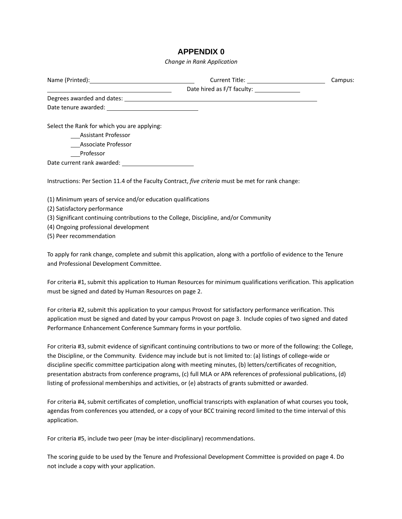## **APPENDIX 0**

*Change in Rank Application*

|                                                              |                                                                                                             | Campus: |
|--------------------------------------------------------------|-------------------------------------------------------------------------------------------------------------|---------|
|                                                              |                                                                                                             |         |
|                                                              |                                                                                                             |         |
|                                                              |                                                                                                             |         |
| Select the Rank for which you are applying:                  |                                                                                                             |         |
| Assistant Professor                                          |                                                                                                             |         |
| Associate Professor                                          |                                                                                                             |         |
| Professor                                                    |                                                                                                             |         |
|                                                              |                                                                                                             |         |
|                                                              | Instructions: Per Section 11.4 of the Faculty Contract, five criteria must be met for rank change:          |         |
| (1) Minimum years of service and/or education qualifications |                                                                                                             |         |
| (2) Satisfactory performance                                 |                                                                                                             |         |
|                                                              | $\{0\}$ Classificated a set of the control of the set of the Calledge Distribution and $\{1\}$ Construction |         |

(3) Significant continuing contributions to the College, Discipline, and/or Community

(4) Ongoing professional development

(5) Peer recommendation

To apply for rank change, complete and submit this application, along with a portfolio of evidence to the Tenure and Professional Development Committee.

For criteria #1, submit this application to Human Resources for minimum qualifications verification. This application must be signed and dated by Human Resources on page 2.

For criteria #2, submit this application to your campus Provost for satisfactory performance verification. This application must be signed and dated by your campus Provost on page 3. Include copies of two signed and dated Performance Enhancement Conference Summary forms in your portfolio.

For criteria #3, submit evidence of significant continuing contributions to two or more of the following: the College, the Discipline, or the Community. Evidence may include but is not limited to: (a) listings of college‐wide or discipline specific committee participation along with meeting minutes, (b) letters/certificates of recognition, presentation abstracts from conference programs, (c) full MLA or APA references of professional publications, (d) listing of professional memberships and activities, or (e) abstracts of grants submitted or awarded.

For criteria #4, submit certificates of completion, unofficial transcripts with explanation of what courses you took, agendas from conferences you attended, or a copy of your BCC training record limited to the time interval of this application.

For criteria #5, include two peer (may be inter‐disciplinary) recommendations.

The scoring guide to be used by the Tenure and Professional Development Committee is provided on page 4. Do not include a copy with your application.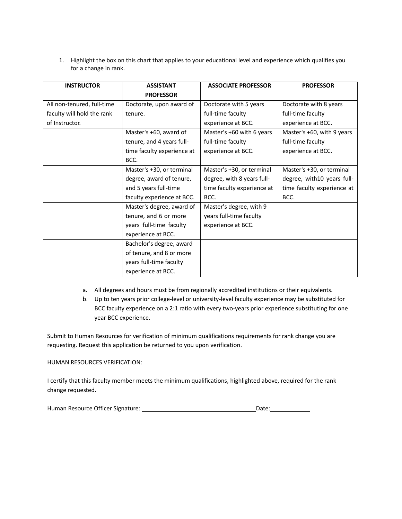1. Highlight the box on this chart that applies to your educational level and experience which qualifies you for a change in rank.

| <b>INSTRUCTOR</b>          | <b>ASSISTANT</b>           | <b>ASSOCIATE PROFESSOR</b> | <b>PROFESSOR</b>           |
|----------------------------|----------------------------|----------------------------|----------------------------|
|                            | <b>PROFESSOR</b>           |                            |                            |
| All non-tenured, full-time | Doctorate, upon award of   | Doctorate with 5 years     | Doctorate with 8 years     |
| faculty will hold the rank | tenure.                    | full-time faculty          | full-time faculty          |
| of Instructor.             |                            | experience at BCC.         | experience at BCC.         |
|                            | Master's +60, award of     | Master's +60 with 6 years  | Master's +60, with 9 years |
|                            | tenure, and 4 years full-  | full-time faculty          | full-time faculty          |
|                            | time faculty experience at | experience at BCC.         | experience at BCC.         |
|                            | BCC.                       |                            |                            |
|                            | Master's +30, or terminal  | Master's +30, or terminal  | Master's +30, or terminal  |
|                            | degree, award of tenure,   | degree, with 8 years full- | degree, with10 years full- |
|                            | and 5 years full-time      | time faculty experience at | time faculty experience at |
|                            | faculty experience at BCC. | BCC.                       | BCC.                       |
|                            | Master's degree, award of  | Master's degree, with 9    |                            |
|                            | tenure, and 6 or more      | years full-time faculty    |                            |
|                            | years full-time faculty    | experience at BCC.         |                            |
|                            | experience at BCC.         |                            |                            |
|                            | Bachelor's degree, award   |                            |                            |
|                            | of tenure, and 8 or more   |                            |                            |
|                            | years full-time faculty    |                            |                            |
|                            | experience at BCC.         |                            |                            |

- a. All degrees and hours must be from regionally accredited institutions or their equivalents.
- b. Up to ten years prior college-level or university-level faculty experience may be substituted for BCC faculty experience on a 2:1 ratio with every two‐years prior experience substituting for one year BCC experience.

Submit to Human Resources for verification of minimum qualifications requirements for rank change you are requesting. Request this application be returned to you upon verification.

#### HUMAN RESOURCES VERIFICATION:

I certify that this faculty member meets the minimum qualifications, highlighted above, required for the rank change requested.

|  | Human Resource Officer Signature: |  | Date: |
|--|-----------------------------------|--|-------|
|--|-----------------------------------|--|-------|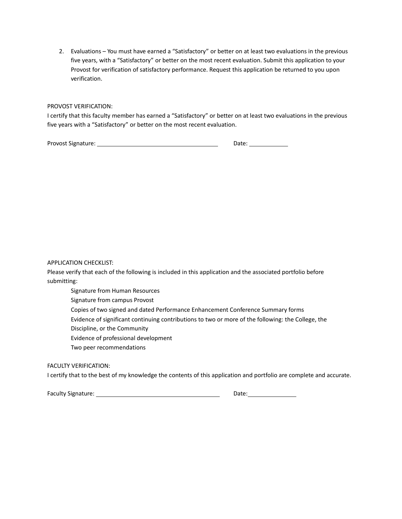2. Evaluations – You must have earned a "Satisfactory" or better on at least two evaluations in the previous five years, with a "Satisfactory" or better on the most recent evaluation. Submit this application to your Provost for verification of satisfactory performance. Request this application be returned to you upon verification.

#### PROVOST VERIFICATION:

I certify that this faculty member has earned a "Satisfactory" or better on at least two evaluations in the previous five years with a "Satisfactory" or better on the most recent evaluation.

Provost Signature: Date: Date: Date: Date: Date: Date: Date: Date: Date: Date: Date: Date: Date: Date: Date: D

APPLICATION CHECKLIST:

Please verify that each of the following is included in this application and the associated portfolio before submitting:

Signature from Human Resources

Signature from campus Provost

Copies of two signed and dated Performance Enhancement Conference Summary forms

Evidence of significant continuing contributions to two or more of the following: the College, the

Discipline, or the Community

Evidence of professional development

Two peer recommendations

FACULTY VERIFICATION:

I certify that to the best of my knowledge the contents of this application and portfolio are complete and accurate.

Faculty Signature: Date: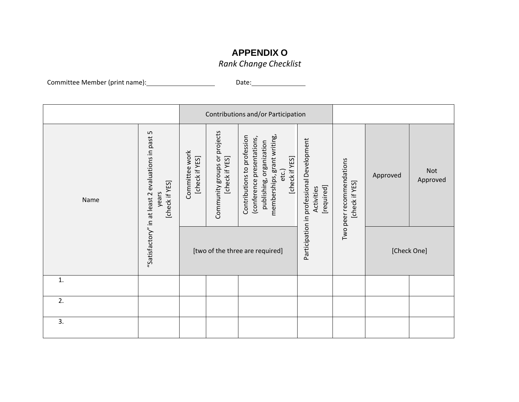# **APPENDIX O**

*Rank Change Checklist*

Committee Member (print name):\_\_\_\_\_\_\_\_\_\_\_\_\_\_\_\_\_\_\_\_\_\_\_\_\_\_\_\_\_\_\_\_Date:

|      |                                                                               | Contributions and/or Participation |                                                |                                                                                                                                                 |                                                                       |                                            |          |                        |
|------|-------------------------------------------------------------------------------|------------------------------------|------------------------------------------------|-------------------------------------------------------------------------------------------------------------------------------------------------|-----------------------------------------------------------------------|--------------------------------------------|----------|------------------------|
| Name | "Satisfactory" in at least 2 evaluations in past 5<br>[check if YES]<br>years | Committee work<br>[check if YES]   | Community groups or projects<br>[check if YES] | memberships, grant writing,<br>Contributions to profession<br>(conference presentations,<br>publishing, organization<br>[check if YES]<br>etc.) | Participation in professional Development<br>[required]<br>Activities | Two peer recommendations<br>[check if YES] | Approved | <b>Not</b><br>Approved |
|      |                                                                               |                                    |                                                | [two of the three are required]                                                                                                                 |                                                                       |                                            |          | [Check One]            |
| 1.   |                                                                               |                                    |                                                |                                                                                                                                                 |                                                                       |                                            |          |                        |
| 2.   |                                                                               |                                    |                                                |                                                                                                                                                 |                                                                       |                                            |          |                        |
| 3.   |                                                                               |                                    |                                                |                                                                                                                                                 |                                                                       |                                            |          |                        |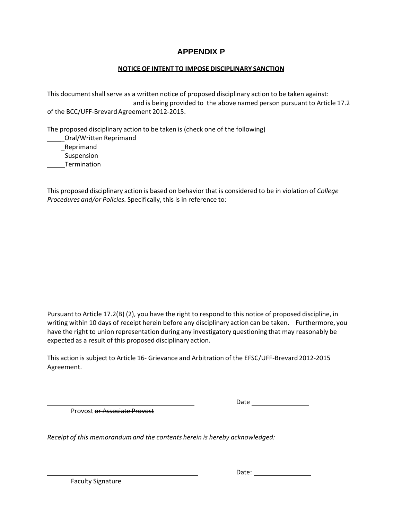## **APPENDIX P**

## **NOTICE OF INTENT TO IMPOSE DISCIPLINARY SANCTION**

This document shall serve as a written notice of proposed disciplinary action to be taken against: and is being provided to the above named person pursuant to Article 17.2 of the BCC/UFF‐Brevard Agreement 2012‐2015.

The proposed disciplinary action to be taken is (check one of the following)

\_Oral/Written Reprimand \_Reprimand

Suspension

Termination

This proposed disciplinary action is based on behavior that is considered to be in violation of *College Procedures and/or Policies.* Specifically, this is in reference to:

Pursuant to Article 17.2(B) (2), you have the right to respond to this notice of proposed discipline, in writing within 10 days of receipt herein before any disciplinary action can be taken. Furthermore, you have the right to union representation during any investigatory questioning that may reasonably be expected as a result of this proposed disciplinary action.

This action is subject to Article 16‐ Grievance and Arbitration of the EFSC/UFF‐Brevard 2012‐2015 Agreement.

Provost or Associate Provost

Date

*Receipt of this memorandum and the contents herein is hereby acknowledged:*

Faculty Signature

Date: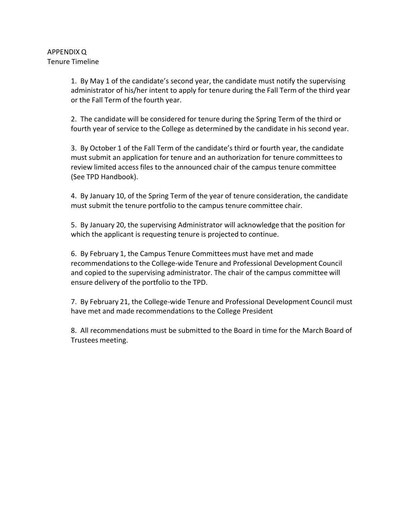1. By May 1 of the candidate's second year, the candidate must notify the supervising administrator of his/her intent to apply for tenure during the Fall Term of the third year or the Fall Term of the fourth year.

2. The candidate will be considered for tenure during the Spring Term of the third or fourth year of service to the College as determined by the candidate in his second year.

3. By October 1 of the Fall Term of the candidate's third or fourth year, the candidate must submit an application for tenure and an authorization for tenure committeesto review limited access files to the announced chair of the campus tenure committee (See TPD Handbook).

4. By January 10, of the Spring Term of the year of tenure consideration, the candidate must submit the tenure portfolio to the campus tenure committee chair.

5. By January 20, the supervising Administrator will acknowledge that the position for which the applicant is requesting tenure is projected to continue.

6. By February 1, the Campus Tenure Committees must have met and made recommendationsto the College‐wide Tenure and Professional Development Council and copied to the supervising administrator. The chair of the campus committee will ensure delivery of the portfolio to the TPD.

7. By February 21, the College‐wide Tenure and Professional Development Council must have met and made recommendations to the College President

8. All recommendations must be submitted to the Board in time for the March Board of Trustees meeting.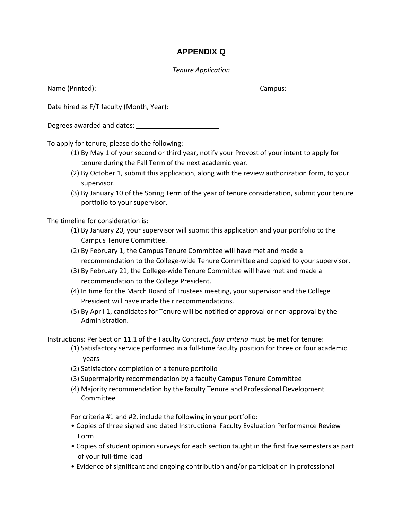## **APPENDIX Q**

## *Tenure Application*

Name (Printed): Campus:

Date hired as F/T faculty (Month, Year):

Degrees awarded and dates:

To apply for tenure, please do the following:

- (1) By May 1 of your second or third year, notify your Provost of your intent to apply for tenure during the Fall Term of the next academic year.
- (2) By October 1, submit this application, along with the review authorization form, to your supervisor.
- (3) By January 10 of the Spring Term of the year of tenure consideration, submit your tenure portfolio to your supervisor.

The timeline for consideration is:

- (1) By January 20, your supervisor will submit this application and your portfolio to the Campus Tenure Committee.
- (2) By February 1, the Campus Tenure Committee will have met and made a recommendation to the College‐wide Tenure Committee and copied to your supervisor.
- (3) By February 21, the College‐wide Tenure Committee will have met and made a recommendation to the College President.
- (4) In time for the March Board of Trustees meeting, your supervisor and the College President will have made their recommendations.
- (5) By April 1, candidates for Tenure will be notified of approval or non‐approval by the Administration.

Instructions: Per Section 11.1 of the Faculty Contract, *four criteria* must be met for tenure:

- (1) Satisfactory service performed in a full‐time faculty position for three or four academic years
- (2) Satisfactory completion of a tenure portfolio
- (3) Supermajority recommendation by a faculty Campus Tenure Committee
- (4) Majority recommendation by the faculty Tenure and Professional Development Committee

For criteria #1 and #2, include the following in your portfolio:

- Copies of three signed and dated Instructional Faculty Evaluation Performance Review Form
- Copies of student opinion surveys for each section taught in the first five semesters as part of your full‐time load
- Evidence of significant and ongoing contribution and/or participation in professional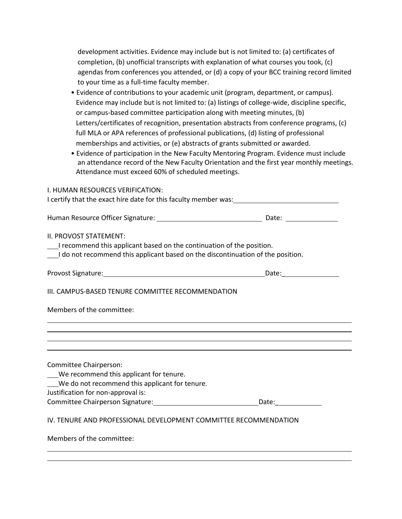| development activities. Evidence may include but is not limited to: (a) certificates of  |
|------------------------------------------------------------------------------------------|
| completion, (b) unofficial transcripts with explanation of what courses you took, (c)    |
| agendas from conferences you attended, or (d) a copy of your BCC training record limited |
| to your time as a full-time faculty member.                                              |

- Evidence of contributions to your academic unit (program, department, or campus). Evidence may include but is not limited to: (a) listings of college-wide, discipline specific, or campus‐based committee participation along with meeting minutes, (b) Letters/certificates of recognition, presentation abstracts from conference programs, (c) full MLA or APA references of professional publications, (d) listing of professional memberships and activities, or (e) abstracts of grants submitted or awarded.
- Evidence of participation in the New Faculty Mentoring Program. Evidence must include an attendance record of the New Faculty Orientation and the first year monthly meetings. Attendance must exceed 60% of scheduled meetings.

#### I. HUMAN RESOURCES VERIFICATION:

I certify that the exact hire date for this faculty member was:<br>

| Human Resource Officer Signature: | Date: |
|-----------------------------------|-------|
|-----------------------------------|-------|

### II. PROVOST STATEMENT:

|  | I recommend this applicant based on the continuation of the position. |
|--|-----------------------------------------------------------------------|
|--|-----------------------------------------------------------------------|

| I do not recommend this applicant based on the discontinuation of the position. |  |
|---------------------------------------------------------------------------------|--|
|---------------------------------------------------------------------------------|--|

| <b>Provost Signature:</b> | Date: |
|---------------------------|-------|
|                           |       |

## III. CAMPUS‐BASED TENURE COMMITTEE RECOMMENDATION

Members of the committee:

Committee Chairperson: We recommend this applicant for tenure. We do not recommend this applicant for tenure. Justification for non‐approval is: Committee Chairperson Signature: Date: Date: Date: IV. TENURE AND PROFESSIONAL DEVELOPMENT COMMITTEE RECOMMENDATION Members of the committee: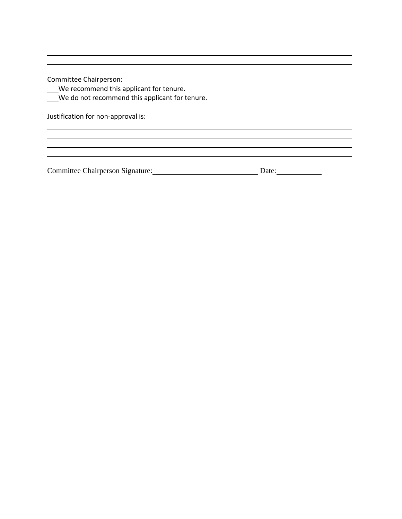Committee Chairperson:

We recommend this applicant for tenure.

We do not recommend this applicant for tenure.

Justification for non‐approval is:

Committee Chairperson Signature: Date: Date: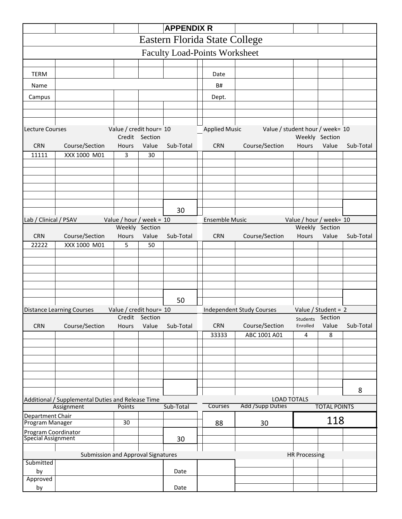|                                           |                                                   |                                   |                         | <b>APPENDIX R</b> |                                                           |                                                         |                                 |                         |                         |           |
|-------------------------------------------|---------------------------------------------------|-----------------------------------|-------------------------|-------------------|-----------------------------------------------------------|---------------------------------------------------------|---------------------------------|-------------------------|-------------------------|-----------|
| Eastern Florida State College             |                                                   |                                   |                         |                   |                                                           |                                                         |                                 |                         |                         |           |
| <b>Faculty Load-Points Worksheet</b>      |                                                   |                                   |                         |                   |                                                           |                                                         |                                 |                         |                         |           |
|                                           |                                                   |                                   |                         |                   |                                                           |                                                         |                                 |                         |                         |           |
| <b>TERM</b>                               |                                                   |                                   |                         |                   |                                                           | Date                                                    |                                 |                         |                         |           |
| Name                                      |                                                   |                                   |                         |                   |                                                           | B#                                                      |                                 |                         |                         |           |
| Campus                                    |                                                   |                                   |                         |                   |                                                           | Dept.                                                   |                                 |                         |                         |           |
|                                           |                                                   |                                   |                         |                   |                                                           |                                                         |                                 |                         |                         |           |
|                                           |                                                   |                                   |                         |                   |                                                           |                                                         |                                 |                         |                         |           |
| <b>Lecture Courses</b>                    |                                                   | Value / credit hour= 10           |                         |                   |                                                           | <b>Applied Music</b>                                    | Value / student hour / week= 10 |                         |                         |           |
| <b>CRN</b>                                | Course/Section                                    | Hours                             | Credit Section<br>Value | Sub-Total         |                                                           | <b>CRN</b>                                              | Course/Section                  | Hours                   | Weekly Section<br>Value | Sub-Total |
| 11111                                     | XXX 1000 M01                                      | 3                                 | 30                      |                   |                                                           |                                                         |                                 |                         |                         |           |
|                                           |                                                   |                                   |                         |                   |                                                           |                                                         |                                 |                         |                         |           |
|                                           |                                                   |                                   |                         |                   |                                                           |                                                         |                                 |                         |                         |           |
|                                           |                                                   |                                   |                         |                   |                                                           |                                                         |                                 |                         |                         |           |
|                                           |                                                   |                                   |                         |                   |                                                           |                                                         |                                 |                         |                         |           |
|                                           |                                                   |                                   |                         | 30                |                                                           |                                                         |                                 |                         |                         |           |
| Lab / Clinical / PSAV                     |                                                   | Value / hour / week = $10$        |                         |                   |                                                           | <b>Ensemble Music</b>                                   |                                 | Value / hour / week= 10 |                         |           |
|                                           |                                                   |                                   | Weekly Section          |                   |                                                           |                                                         |                                 |                         | Weekly Section          |           |
| <b>CRN</b>                                | Course/Section                                    | Hours                             | Value                   | Sub-Total         |                                                           | CRN                                                     | Course/Section                  | Hours                   | Value                   | Sub-Total |
| 22222                                     | XXX 1000 M01                                      | 5                                 | 50                      |                   |                                                           |                                                         |                                 |                         |                         |           |
|                                           |                                                   |                                   |                         |                   |                                                           |                                                         |                                 |                         |                         |           |
|                                           |                                                   |                                   |                         |                   |                                                           |                                                         |                                 |                         |                         |           |
|                                           |                                                   |                                   |                         |                   |                                                           |                                                         |                                 |                         |                         |           |
|                                           |                                                   |                                   |                         |                   |                                                           |                                                         |                                 |                         |                         |           |
|                                           |                                                   |                                   |                         | 50                |                                                           |                                                         |                                 |                         |                         |           |
|                                           | <b>Distance Learning Courses</b>                  | Value / credit hour= 10<br>Credit | Section                 |                   |                                                           | <b>Independent Study Courses</b><br>Value / Student = 2 |                                 |                         |                         |           |
| <b>CRN</b>                                | Course/Section                                    | Hours                             | Value                   | Sub-Total         |                                                           | <b>CRN</b>                                              | Course/Section                  | Students<br>Enrolled    | Section<br>Value        | Sub-Total |
|                                           |                                                   |                                   |                         |                   |                                                           | 33333                                                   | ABC 1001 A01                    | 4                       | 8                       |           |
|                                           |                                                   |                                   |                         |                   |                                                           |                                                         |                                 |                         |                         |           |
|                                           |                                                   |                                   |                         |                   |                                                           |                                                         |                                 |                         |                         |           |
|                                           |                                                   |                                   |                         |                   |                                                           |                                                         |                                 |                         |                         |           |
|                                           |                                                   |                                   |                         |                   |                                                           |                                                         |                                 |                         |                         |           |
|                                           |                                                   |                                   |                         |                   |                                                           |                                                         |                                 |                         |                         | 8         |
|                                           | Additional / Supplemental Duties and Release Time |                                   |                         |                   |                                                           |                                                         | <b>LOAD TOTALS</b>              |                         |                         |           |
| Assignment<br>Points                      |                                                   |                                   | Sub-Total               |                   | <b>Add /Supp Duties</b><br>Courses<br><b>TOTAL POINTS</b> |                                                         |                                 |                         |                         |           |
| Department Chair<br>30<br>Program Manager |                                                   |                                   |                         | 88                | 30                                                        |                                                         | 118                             |                         |                         |           |
| <b>Program Coordinator</b>                |                                                   |                                   |                         |                   |                                                           |                                                         |                                 |                         |                         |           |
| <b>Special Assignment</b>                 |                                                   |                                   |                         | 30                |                                                           |                                                         |                                 |                         |                         |           |
|                                           | <b>Submission and Approval Signatures</b>         |                                   |                         |                   |                                                           |                                                         |                                 | <b>HR Processing</b>    |                         |           |
| Submitted                                 |                                                   |                                   |                         |                   |                                                           |                                                         |                                 |                         |                         |           |
| by                                        |                                                   |                                   |                         | Date              |                                                           |                                                         |                                 |                         |                         |           |
| Approved<br>by                            |                                                   |                                   |                         | Date              |                                                           |                                                         |                                 |                         |                         |           |
|                                           |                                                   |                                   |                         |                   |                                                           |                                                         |                                 |                         |                         |           |